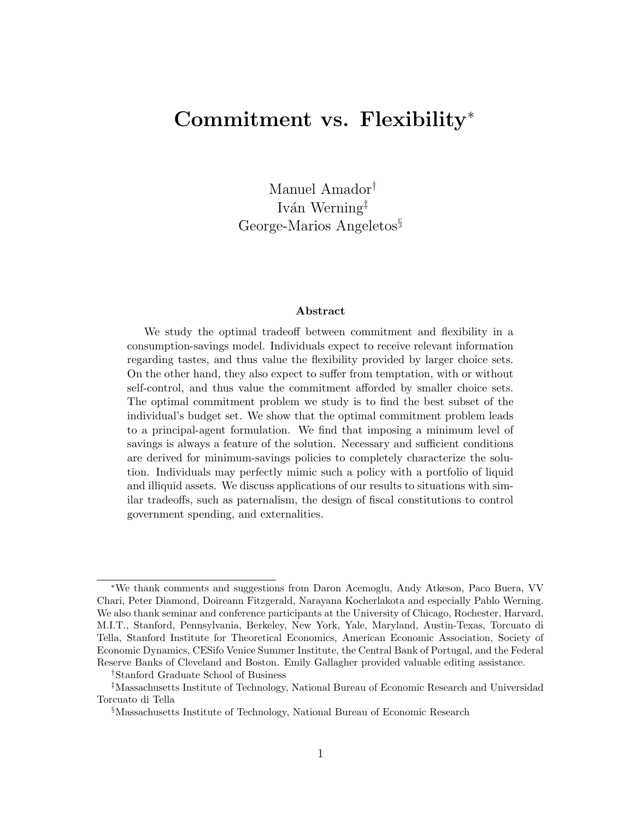# Commitment vs. Flexibility ∗

Manuel Amador† Iván Werning<sup>‡</sup> George-Marios Angeletos§

#### Abstract

We study the optimal tradeoff between commitment and flexibility in a consumption-savings model. Individuals expect to receive relevant information regarding tastes, and thus value the flexibility provided by larger choice sets. On the other hand, they also expect to suffer from temptation, with or without self-control, and thus value the commitment afforded by smaller choice sets. The optimal commitment problem we study is to find the best subset of the individual's budget set. We show that the optimal commitment problem leads to a principal-agent formulation. We find that imposing a minimum level of savings is always a feature of the solution. Necessary and sufficient conditions are derived for minimum-savings policies to completely characterize the solution. Individuals may perfectly mimic such a policy with a portfolio of liquid and illiquid assets. We discuss applications of our results to situations with similar tradeoffs, such as paternalism, the design of fiscal constitutions to control government spending, and externalities.

<sup>∗</sup>We thank comments and suggestions from Daron Acemoglu, Andy Atkeson, Paco Buera, VV Chari, Peter Diamond, Doireann Fitzgerald, Narayana Kocherlakota and especially Pablo Werning. We also thank seminar and conference participants at the University of Chicago, Rochester, Harvard, M.I.T., Stanford, Pennsylvania, Berkeley, New York, Yale, Maryland, Austin-Texas, Torcuato di Tella, Stanford Institute for Theoretical Economics, American Economic Association, Society of Economic Dynamics, CESifo Venice Summer Institute, the Central Bank of Portugal, and the Federal Reserve Banks of Cleveland and Boston. Emily Gallagher provided valuable editing assistance.

<sup>†</sup>Stanford Graduate School of Business

<sup>‡</sup>Massachusetts Institute of Technology, National Bureau of Economic Research and Universidad Torcuato di Tella

<sup>§</sup>Massachusetts Institute of Technology, National Bureau of Economic Research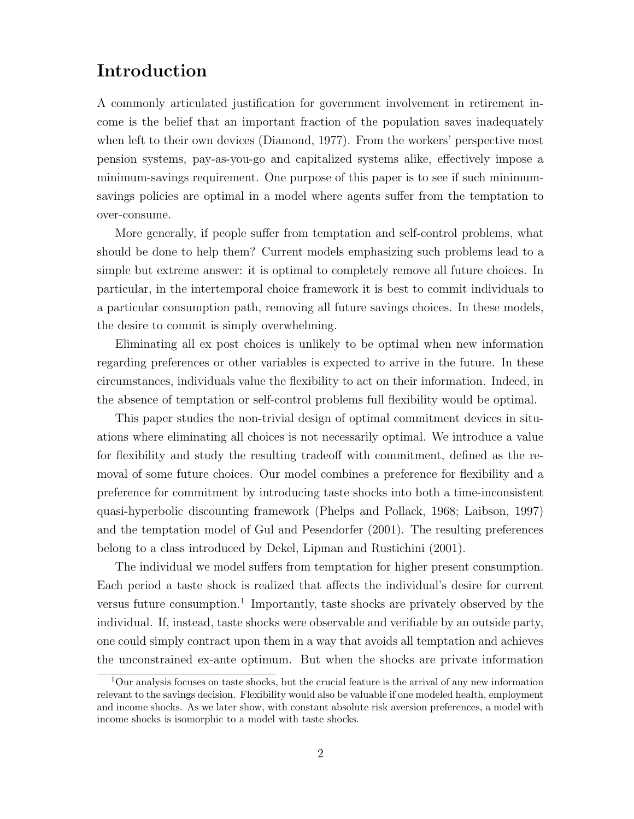# Introduction

A commonly articulated justification for government involvement in retirement income is the belief that an important fraction of the population saves inadequately when left to their own devices (Diamond, 1977). From the workers' perspective most pension systems, pay-as-you-go and capitalized systems alike, effectively impose a minimum-savings requirement. One purpose of this paper is to see if such minimumsavings policies are optimal in a model where agents suffer from the temptation to over-consume.

More generally, if people suffer from temptation and self-control problems, what should be done to help them? Current models emphasizing such problems lead to a simple but extreme answer: it is optimal to completely remove all future choices. In particular, in the intertemporal choice framework it is best to commit individuals to a particular consumption path, removing all future savings choices. In these models, the desire to commit is simply overwhelming.

Eliminating all ex post choices is unlikely to be optimal when new information regarding preferences or other variables is expected to arrive in the future. In these circumstances, individuals value the flexibility to act on their information. Indeed, in the absence of temptation or self-control problems full flexibility would be optimal.

This paper studies the non-trivial design of optimal commitment devices in situations where eliminating all choices is not necessarily optimal. We introduce a value for flexibility and study the resulting tradeoff with commitment, defined as the removal of some future choices. Our model combines a preference for flexibility and a preference for commitment by introducing taste shocks into both a time-inconsistent quasi-hyperbolic discounting framework (Phelps and Pollack, 1968; Laibson, 1997) and the temptation model of Gul and Pesendorfer (2001). The resulting preferences belong to a class introduced by Dekel, Lipman and Rustichini (2001).

The individual we model suffers from temptation for higher present consumption. Each period a taste shock is realized that affects the individual's desire for current versus future consumption.<sup>1</sup> Importantly, taste shocks are privately observed by the individual. If, instead, taste shocks were observable and verifiable by an outside party, one could simply contract upon them in a way that avoids all temptation and achieves the unconstrained ex-ante optimum. But when the shocks are private information

 $1$ Our analysis focuses on taste shocks, but the crucial feature is the arrival of any new information relevant to the savings decision. Flexibility would also be valuable if one modeled health, employment and income shocks. As we later show, with constant absolute risk aversion preferences, a model with income shocks is isomorphic to a model with taste shocks.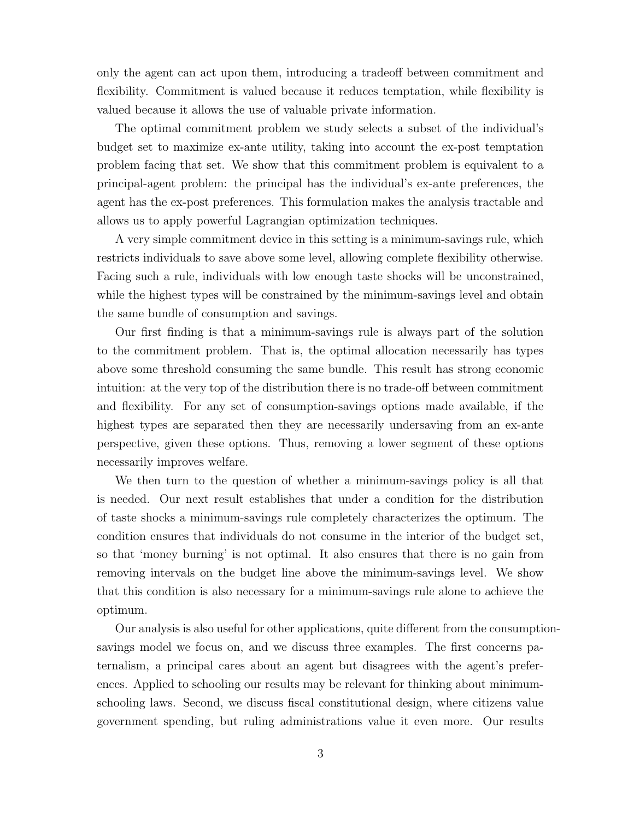only the agent can act upon them, introducing a tradeoff between commitment and flexibility. Commitment is valued because it reduces temptation, while flexibility is valued because it allows the use of valuable private information.

The optimal commitment problem we study selects a subset of the individual's budget set to maximize ex-ante utility, taking into account the ex-post temptation problem facing that set. We show that this commitment problem is equivalent to a principal-agent problem: the principal has the individual's ex-ante preferences, the agent has the ex-post preferences. This formulation makes the analysis tractable and allows us to apply powerful Lagrangian optimization techniques.

A very simple commitment device in this setting is a minimum-savings rule, which restricts individuals to save above some level, allowing complete flexibility otherwise. Facing such a rule, individuals with low enough taste shocks will be unconstrained, while the highest types will be constrained by the minimum-savings level and obtain the same bundle of consumption and savings.

Our first finding is that a minimum-savings rule is always part of the solution to the commitment problem. That is, the optimal allocation necessarily has types above some threshold consuming the same bundle. This result has strong economic intuition: at the very top of the distribution there is no trade-off between commitment and flexibility. For any set of consumption-savings options made available, if the highest types are separated then they are necessarily undersaving from an ex-ante perspective, given these options. Thus, removing a lower segment of these options necessarily improves welfare.

We then turn to the question of whether a minimum-savings policy is all that is needed. Our next result establishes that under a condition for the distribution of taste shocks a minimum-savings rule completely characterizes the optimum. The condition ensures that individuals do not consume in the interior of the budget set, so that 'money burning' is not optimal. It also ensures that there is no gain from removing intervals on the budget line above the minimum-savings level. We show that this condition is also necessary for a minimum-savings rule alone to achieve the optimum.

Our analysis is also useful for other applications, quite different from the consumptionsavings model we focus on, and we discuss three examples. The first concerns paternalism, a principal cares about an agent but disagrees with the agent's preferences. Applied to schooling our results may be relevant for thinking about minimumschooling laws. Second, we discuss fiscal constitutional design, where citizens value government spending, but ruling administrations value it even more. Our results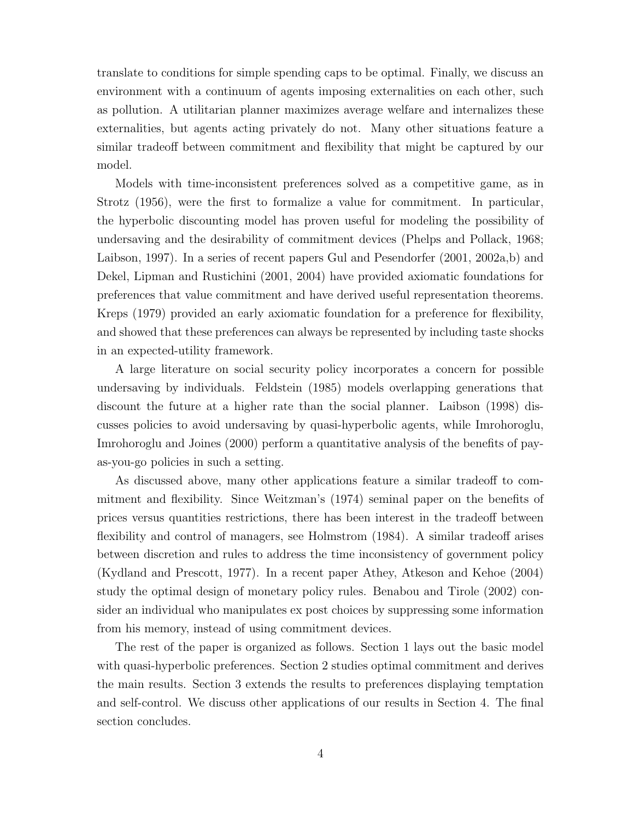translate to conditions for simple spending caps to be optimal. Finally, we discuss an environment with a continuum of agents imposing externalities on each other, such as pollution. A utilitarian planner maximizes average welfare and internalizes these externalities, but agents acting privately do not. Many other situations feature a similar tradeoff between commitment and flexibility that might be captured by our model.

Models with time-inconsistent preferences solved as a competitive game, as in Strotz (1956), were the first to formalize a value for commitment. In particular, the hyperbolic discounting model has proven useful for modeling the possibility of undersaving and the desirability of commitment devices (Phelps and Pollack, 1968; Laibson, 1997). In a series of recent papers Gul and Pesendorfer (2001, 2002a,b) and Dekel, Lipman and Rustichini (2001, 2004) have provided axiomatic foundations for preferences that value commitment and have derived useful representation theorems. Kreps (1979) provided an early axiomatic foundation for a preference for flexibility, and showed that these preferences can always be represented by including taste shocks in an expected-utility framework.

A large literature on social security policy incorporates a concern for possible undersaving by individuals. Feldstein (1985) models overlapping generations that discount the future at a higher rate than the social planner. Laibson (1998) discusses policies to avoid undersaving by quasi-hyperbolic agents, while Imrohoroglu, Imrohoroglu and Joines (2000) perform a quantitative analysis of the benefits of payas-you-go policies in such a setting.

As discussed above, many other applications feature a similar tradeoff to commitment and flexibility. Since Weitzman's (1974) seminal paper on the benefits of prices versus quantities restrictions, there has been interest in the tradeoff between flexibility and control of managers, see Holmstrom (1984). A similar tradeoff arises between discretion and rules to address the time inconsistency of government policy (Kydland and Prescott, 1977). In a recent paper Athey, Atkeson and Kehoe (2004) study the optimal design of monetary policy rules. Benabou and Tirole (2002) consider an individual who manipulates ex post choices by suppressing some information from his memory, instead of using commitment devices.

The rest of the paper is organized as follows. Section 1 lays out the basic model with quasi-hyperbolic preferences. Section 2 studies optimal commitment and derives the main results. Section 3 extends the results to preferences displaying temptation and self-control. We discuss other applications of our results in Section 4. The final section concludes.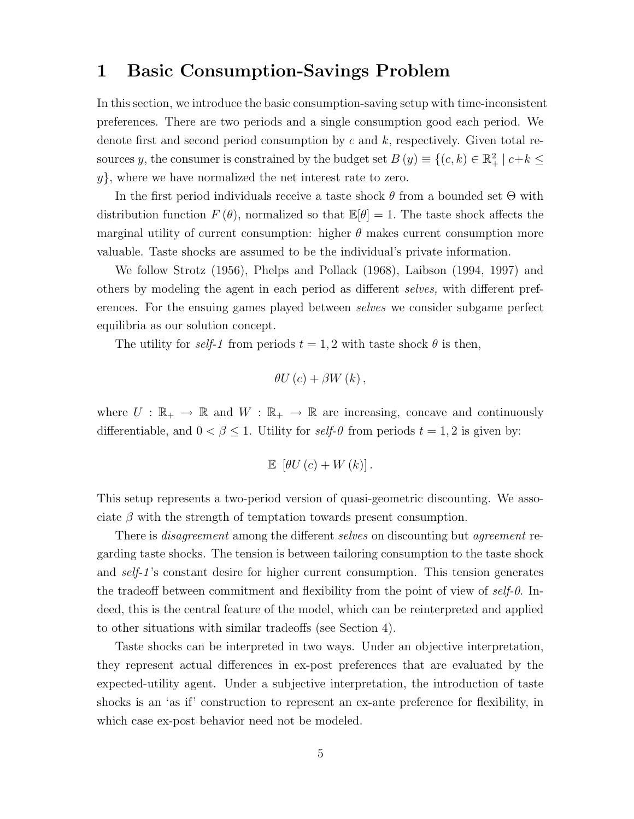### 1 Basic Consumption-Savings Problem

In this section, we introduce the basic consumption-saving setup with time-inconsistent preferences. There are two periods and a single consumption good each period. We denote first and second period consumption by  $c$  and  $k$ , respectively. Given total resources y, the consumer is constrained by the budget set  $B(y) \equiv \{(c, k) \in \mathbb{R}^2_+ | c+k \leq 1 \}$ y}, where we have normalized the net interest rate to zero.

In the first period individuals receive a taste shock  $\theta$  from a bounded set  $\Theta$  with distribution function  $F(\theta)$ , normalized so that  $\mathbb{E}[\theta] = 1$ . The taste shock affects the marginal utility of current consumption: higher  $\theta$  makes current consumption more valuable. Taste shocks are assumed to be the individual's private information.

We follow Strotz (1956), Phelps and Pollack (1968), Laibson (1994, 1997) and others by modeling the agent in each period as different selves, with different preferences. For the ensuing games played between *selves* we consider subgame perfect equilibria as our solution concept.

The utility for self-1 from periods  $t = 1, 2$  with taste shock  $\theta$  is then,

$$
\theta U\left( c\right) +\beta W\left( k\right) ,
$$

where  $U : \mathbb{R}_+ \to \mathbb{R}$  and  $W : \mathbb{R}_+ \to \mathbb{R}$  are increasing, concave and continuously differentiable, and  $0 < \beta \leq 1$ . Utility for self-0 from periods  $t = 1, 2$  is given by:

$$
\mathbb{E} [\theta U(c) + W(k)].
$$

This setup represents a two-period version of quasi-geometric discounting. We associate  $\beta$  with the strength of temptation towards present consumption.

There is *disagreement* among the different selves on discounting but *agreement* regarding taste shocks. The tension is between tailoring consumption to the taste shock and self-1 's constant desire for higher current consumption. This tension generates the tradeoff between commitment and flexibility from the point of view of self-0. Indeed, this is the central feature of the model, which can be reinterpreted and applied to other situations with similar tradeoffs (see Section 4).

Taste shocks can be interpreted in two ways. Under an objective interpretation, they represent actual differences in ex-post preferences that are evaluated by the expected-utility agent. Under a subjective interpretation, the introduction of taste shocks is an 'as if' construction to represent an ex-ante preference for flexibility, in which case ex-post behavior need not be modeled.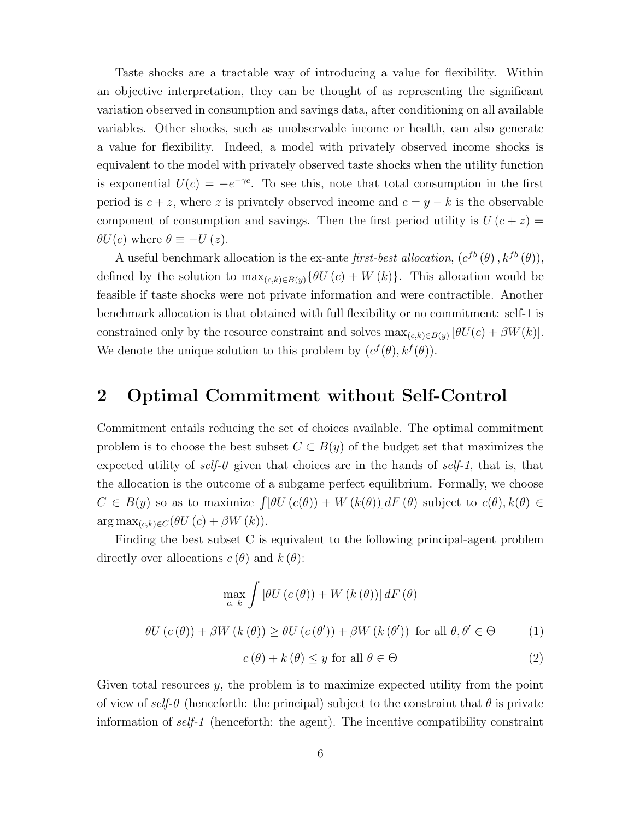Taste shocks are a tractable way of introducing a value for flexibility. Within an objective interpretation, they can be thought of as representing the significant variation observed in consumption and savings data, after conditioning on all available variables. Other shocks, such as unobservable income or health, can also generate a value for flexibility. Indeed, a model with privately observed income shocks is equivalent to the model with privately observed taste shocks when the utility function is exponential  $U(c) = -e^{-\gamma c}$ . To see this, note that total consumption in the first period is  $c + z$ , where z is privately observed income and  $c = y - k$  is the observable component of consumption and savings. Then the first period utility is  $U(c+z)$  $\theta U(c)$  where  $\theta \equiv -U(z)$ .

A useful benchmark allocation is the ex-ante first-best allocation,  $(c^{fb}(\theta), k^{fb}(\theta))$ , defined by the solution to  $\max_{(c,k)\in B(y)}\{\theta U(c)+W(k)\}.$  This allocation would be feasible if taste shocks were not private information and were contractible. Another benchmark allocation is that obtained with full flexibility or no commitment: self-1 is constrained only by the resource constraint and solves  $\max_{(c,k)\in B(y)} [\theta U(c) + \beta W(k)].$ We denote the unique solution to this problem by  $(c^f(\theta), k^f(\theta))$ .

### 2 Optimal Commitment without Self-Control

Commitment entails reducing the set of choices available. The optimal commitment problem is to choose the best subset  $C \subset B(y)$  of the budget set that maximizes the expected utility of self-0 given that choices are in the hands of self-1, that is, that the allocation is the outcome of a subgame perfect equilibrium. Formally, we choose  $C \in B(y)$  so as to maximize  $\int [\theta U(c(\theta)) + W(k(\theta))] dF(\theta)$  subject to  $c(\theta), k(\theta) \in$  $\arg \max_{(c,k)\in C}(\theta U(c)+\beta W(k)).$ 

Finding the best subset C is equivalent to the following principal-agent problem directly over allocations  $c(\theta)$  and  $k(\theta)$ :

$$
\max_{c, k} \int \left[\theta U(c(\theta)) + W(k(\theta))\right] dF(\theta)
$$
  

$$
\theta U(c(\theta)) + \beta W(k(\theta)) \ge \theta U(c(\theta')) + \beta W(k(\theta')) \text{ for all } \theta, \theta' \in \Theta
$$
 (1)  

$$
c(\theta) + k(\theta) \le y \text{ for all } \theta \in \Theta
$$
 (2)

Given total resources y, the problem is to maximize expected utility from the point of view of self-0 (henceforth: the principal) subject to the constraint that  $\theta$  is private information of self-1 (henceforth: the agent). The incentive compatibility constraint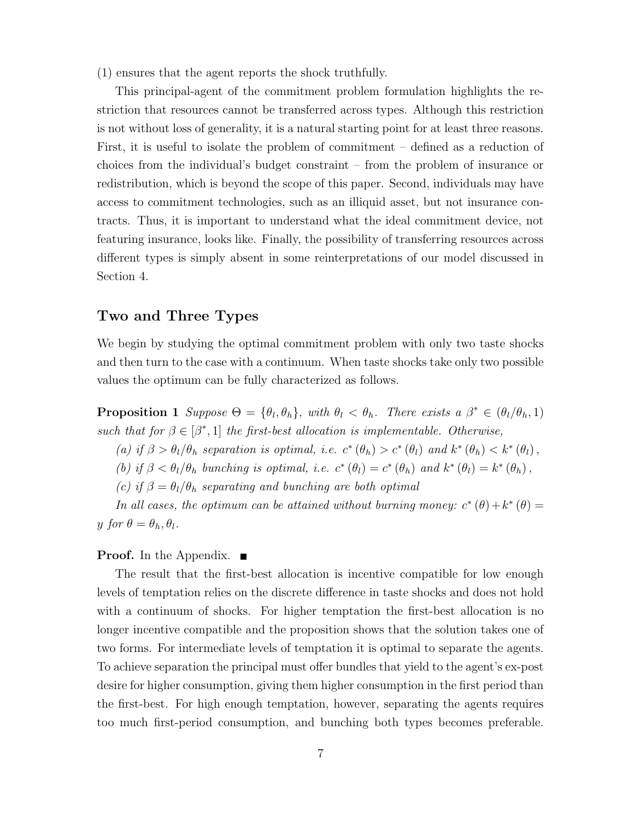(1) ensures that the agent reports the shock truthfully.

This principal-agent of the commitment problem formulation highlights the restriction that resources cannot be transferred across types. Although this restriction is not without loss of generality, it is a natural starting point for at least three reasons. First, it is useful to isolate the problem of commitment – defined as a reduction of choices from the individual's budget constraint – from the problem of insurance or redistribution, which is beyond the scope of this paper. Second, individuals may have access to commitment technologies, such as an illiquid asset, but not insurance contracts. Thus, it is important to understand what the ideal commitment device, not featuring insurance, looks like. Finally, the possibility of transferring resources across different types is simply absent in some reinterpretations of our model discussed in Section 4.

### Two and Three Types

We begin by studying the optimal commitment problem with only two taste shocks and then turn to the case with a continuum. When taste shocks take only two possible values the optimum can be fully characterized as follows.

**Proposition 1** Suppose  $\Theta = {\theta_l, \theta_h}$ , with  $\theta_l < \theta_h$ . There exists a  $\beta^* \in (\theta_l/\theta_h, 1)$ such that for  $\beta \in [\beta^*, 1]$  the first-best allocation is implementable. Otherwise,

- (a) if  $\beta > \theta_l/\theta_h$  separation is optimal, i.e.  $c^*(\theta_h) > c^*(\theta_l)$  and  $k^*(\theta_h) < k^*(\theta_l)$ ,
- (b) if  $\beta < \theta_l/\theta_h$  bunching is optimal, i.e.  $c^* (\theta_l) = c^* (\theta_h)$  and  $k^* (\theta_l) = k^* (\theta_h)$ ,
- (c) if  $\beta = \theta_l/\theta_h$  separating and bunching are both optimal

In all cases, the optimum can be attained without burning money:  $c^*(\theta) + k^*(\theta) =$ y for  $\theta = \theta_h, \theta_l$ .

#### **Proof.** In the Appendix.  $\blacksquare$

The result that the first-best allocation is incentive compatible for low enough levels of temptation relies on the discrete difference in taste shocks and does not hold with a continuum of shocks. For higher temptation the first-best allocation is no longer incentive compatible and the proposition shows that the solution takes one of two forms. For intermediate levels of temptation it is optimal to separate the agents. To achieve separation the principal must offer bundles that yield to the agent's ex-post desire for higher consumption, giving them higher consumption in the first period than the first-best. For high enough temptation, however, separating the agents requires too much first-period consumption, and bunching both types becomes preferable.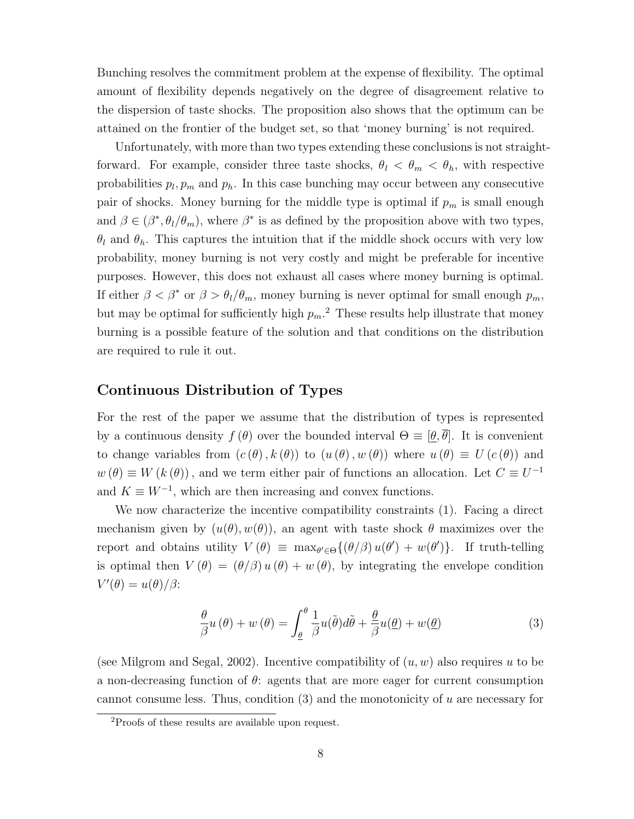Bunching resolves the commitment problem at the expense of flexibility. The optimal amount of flexibility depends negatively on the degree of disagreement relative to the dispersion of taste shocks. The proposition also shows that the optimum can be attained on the frontier of the budget set, so that 'money burning' is not required.

Unfortunately, with more than two types extending these conclusions is not straightforward. For example, consider three taste shocks,  $\theta_l < \theta_m < \theta_h$ , with respective probabilities  $p_l, p_m$  and  $p_h$ . In this case bunching may occur between any consecutive pair of shocks. Money burning for the middle type is optimal if  $p_m$  is small enough and  $\beta \in (\beta^*, \theta_l/\theta_m)$ , where  $\beta^*$  is as defined by the proposition above with two types,  $\theta_l$  and  $\theta_h$ . This captures the intuition that if the middle shock occurs with very low probability, money burning is not very costly and might be preferable for incentive purposes. However, this does not exhaust all cases where money burning is optimal. If either  $\beta < \beta^*$  or  $\beta > \theta_l/\theta_m$ , money burning is never optimal for small enough  $p_m$ , but may be optimal for sufficiently high  $p_m$ <sup>2</sup>. These results help illustrate that money burning is a possible feature of the solution and that conditions on the distribution are required to rule it out.

#### Continuous Distribution of Types

For the rest of the paper we assume that the distribution of types is represented by a continuous density  $f(\theta)$  over the bounded interval  $\Theta \equiv [\theta, \overline{\theta}]$ . It is convenient to change variables from  $(c(\theta), k(\theta))$  to  $(u(\theta), w(\theta))$  where  $u(\theta) \equiv U(c(\theta))$  and  $w(\theta) \equiv W(k(\theta))$ , and we term either pair of functions an allocation. Let  $C \equiv U^{-1}$ and  $K \equiv W^{-1}$ , which are then increasing and convex functions.

We now characterize the incentive compatibility constraints (1). Facing a direct mechanism given by  $(u(\theta), w(\theta))$ , an agent with taste shock  $\theta$  maximizes over the report and obtains utility  $V(\theta) \equiv \max_{\theta' \in \Theta} \{(\theta/\beta) u(\theta') + w(\theta')\}.$  If truth-telling is optimal then  $V(\theta) = (\theta/\beta) u(\theta) + w(\theta)$ , by integrating the envelope condition  $V'(\theta) = u(\theta)/\beta$ :

$$
\frac{\theta}{\beta}u(\theta) + w(\theta) = \int_{\underline{\theta}}^{\theta} \frac{1}{\beta}u(\tilde{\theta})d\tilde{\theta} + \frac{\theta}{\beta}u(\underline{\theta}) + w(\underline{\theta})
$$
\n(3)

(see Milgrom and Segal, 2002). Incentive compatibility of  $(u, w)$  also requires u to be a non-decreasing function of  $\theta$ : agents that are more eager for current consumption cannot consume less. Thus, condition  $(3)$  and the monotonicity of u are necessary for

<sup>2</sup>Proofs of these results are available upon request.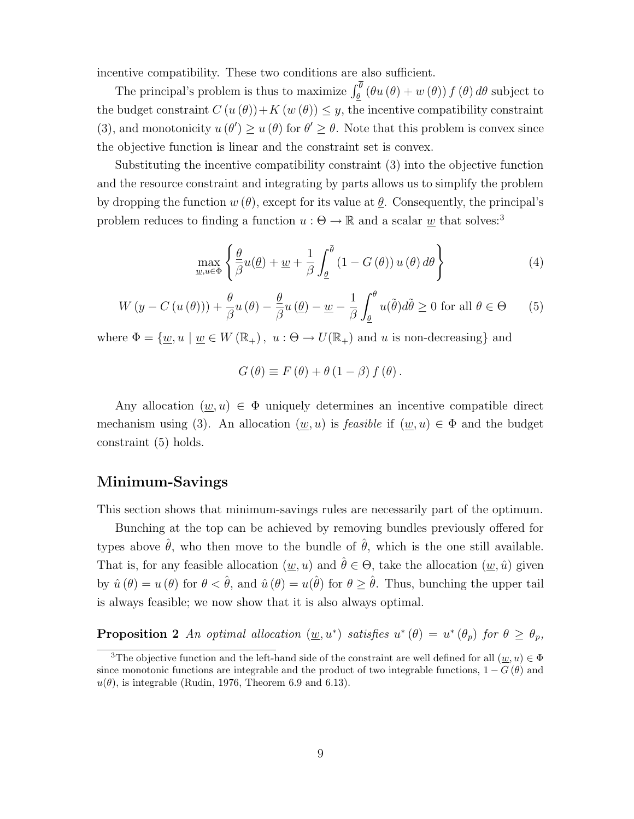incentive compatibility. These two conditions are also sufficient.

The principal's problem is thus to maximize  $\int_{\underline{\theta}}^{\theta} (\theta u(\theta) + w(\theta)) f(\theta) d\theta$  subject to the budget constraint  $C(u(\theta)) + K(w(\theta)) \leq y$ , the incentive compatibility constraint (3), and monotonicity  $u(\theta') \geq u(\theta)$  for  $\theta' \geq \theta$ . Note that this problem is convex since the objective function is linear and the constraint set is convex.

Substituting the incentive compatibility constraint (3) into the objective function and the resource constraint and integrating by parts allows us to simplify the problem by dropping the function  $w(\theta)$ , except for its value at  $\theta$ . Consequently, the principal's problem reduces to finding a function  $u : \Theta \to \mathbb{R}$  and a scalar  $\underline{w}$  that solves:<sup>3</sup>

$$
\max_{\underline{w},u\in\Phi} \left\{ \frac{\theta}{\beta} u(\underline{\theta}) + \underline{w} + \frac{1}{\beta} \int_{\underline{\theta}}^{\overline{\theta}} (1 - G(\theta)) u(\theta) d\theta \right\}
$$
(4)

$$
W(y - C(u(\theta))) + \frac{\theta}{\beta}u(\theta) - \frac{\theta}{\beta}u(\underline{\theta}) - \underline{w} - \frac{1}{\beta}\int_{\underline{\theta}}^{\theta}u(\tilde{\theta})d\tilde{\theta} \ge 0 \text{ for all } \theta \in \Theta
$$
 (5)

where  $\Phi = {\underline{w}, u \mid \underline{w} \in W(\mathbb{R}_+), u : \Theta \to U(\mathbb{R}_+)}$  and u is non-decreasing and

$$
G(\theta) \equiv F(\theta) + \theta (1 - \beta) f(\theta).
$$

Any allocation  $(\underline{w}, u) \in \Phi$  uniquely determines an incentive compatible direct mechanism using (3). An allocation  $(\underline{w}, u)$  is *feasible* if  $(\underline{w}, u) \in \Phi$  and the budget constraint (5) holds.

### Minimum-Savings

This section shows that minimum-savings rules are necessarily part of the optimum.

Bunching at the top can be achieved by removing bundles previously offered for types above  $\hat{\theta}$ , who then move to the bundle of  $\hat{\theta}$ , which is the one still available. That is, for any feasible allocation  $(\underline{w}, u)$  and  $\hat{\theta} \in \Theta$ , take the allocation  $(\underline{w}, \hat{u})$  given by  $\hat{u}(\theta) = u(\theta)$  for  $\theta < \hat{\theta}$ , and  $\hat{u}(\theta) = u(\hat{\theta})$  for  $\theta \geq \hat{\theta}$ . Thus, bunching the upper tail is always feasible; we now show that it is also always optimal.

**Proposition 2** An optimal allocation  $(\underline{w}, u^*)$  satisfies  $u^*(\theta) = u^*(\theta_p)$  for  $\theta \ge \theta_p$ ,

<sup>&</sup>lt;sup>3</sup>The objective function and the left-hand side of the constraint are well defined for all  $(\underline{w}, u) \in \Phi$ since monotonic functions are integrable and the product of two integrable functions,  $1 - G(\theta)$  and  $u(\theta)$ , is integrable (Rudin, 1976, Theorem 6.9 and 6.13).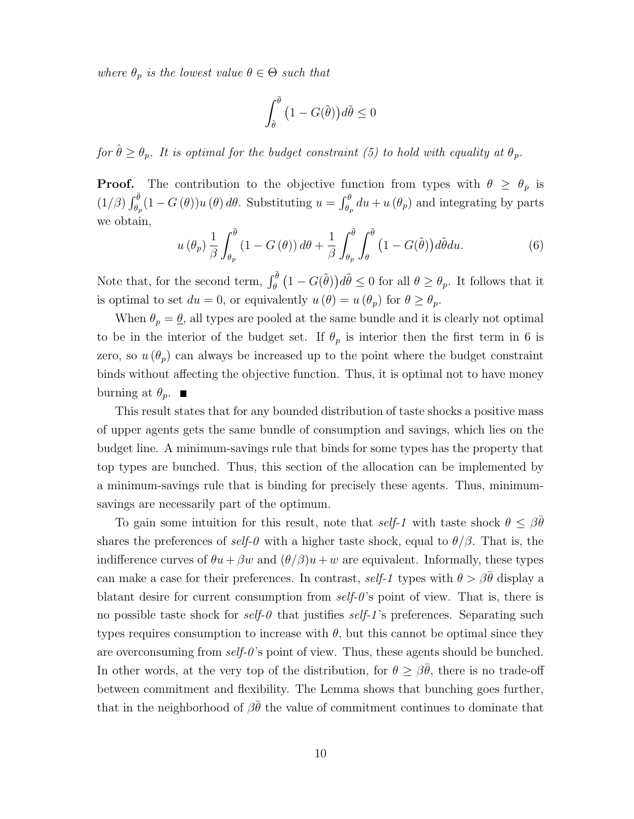where  $\theta_p$  is the lowest value  $\theta \in \Theta$  such that

$$
\int_{\hat{\theta}}^{\bar{\theta}} \left(1 - G(\tilde{\theta})\right) d\tilde{\theta} \le 0
$$

for  $\hat{\theta} \geq \theta_p$ . It is optimal for the budget constraint (5) to hold with equality at  $\theta_p$ .

**Proof.** The contribution to the objective function from types with  $\theta \geq \theta_p$  is  $(1/\beta)\int_{\theta_p}^{\overline{\theta}}(1-G(\theta))u(\theta) d\theta$ . Substituting  $u = \int_{\theta_p}^{\theta} du + u(\theta_p)$  and integrating by parts we obtain,

$$
u(\theta_p) \frac{1}{\beta} \int_{\theta_p}^{\overline{\theta}} (1 - G(\theta)) d\theta + \frac{1}{\beta} \int_{\theta_p}^{\overline{\theta}} \int_{\theta}^{\overline{\theta}} (1 - G(\tilde{\theta})) d\tilde{\theta} du.
$$
 (6)

Note that, for the second term,  $\int_{\theta}^{\bar{\theta}} (1 - G(\tilde{\theta})) d\tilde{\theta} \leq 0$  for all  $\theta \geq \theta_p$ . It follows that it is optimal to set  $du = 0$ , or equivalently  $u(\theta) = u(\theta_p)$  for  $\theta \ge \theta_p$ .

When  $\theta_p = \underline{\theta}$ , all types are pooled at the same bundle and it is clearly not optimal to be in the interior of the budget set. If  $\theta_p$  is interior then the first term in 6 is zero, so  $u(\theta_p)$  can always be increased up to the point where the budget constraint binds without affecting the objective function. Thus, it is optimal not to have money burning at  $\theta_p$ .

This result states that for any bounded distribution of taste shocks a positive mass of upper agents gets the same bundle of consumption and savings, which lies on the budget line. A minimum-savings rule that binds for some types has the property that top types are bunched. Thus, this section of the allocation can be implemented by a minimum-savings rule that is binding for precisely these agents. Thus, minimumsavings are necessarily part of the optimum.

To gain some intuition for this result, note that self-1 with taste shock  $\theta \leq \beta \overline{\theta}$ shares the preferences of self-0 with a higher taste shock, equal to  $\theta/\beta$ . That is, the indifference curves of  $\theta u + \beta w$  and  $(\theta/\beta)u + w$  are equivalent. Informally, these types can make a case for their preferences. In contrast, self-1 types with  $\theta > \beta \bar{\theta}$  display a blatant desire for current consumption from  $self-0$ 's point of view. That is, there is no possible taste shock for self-0 that justifies self-1's preferences. Separating such types requires consumption to increase with  $\theta$ , but this cannot be optimal since they are overconsuming from  $self-0$ 's point of view. Thus, these agents should be bunched. In other words, at the very top of the distribution, for  $\theta \geq \beta \overline{\theta}$ , there is no trade-off between commitment and flexibility. The Lemma shows that bunching goes further, that in the neighborhood of  $\beta\bar{\theta}$  the value of commitment continues to dominate that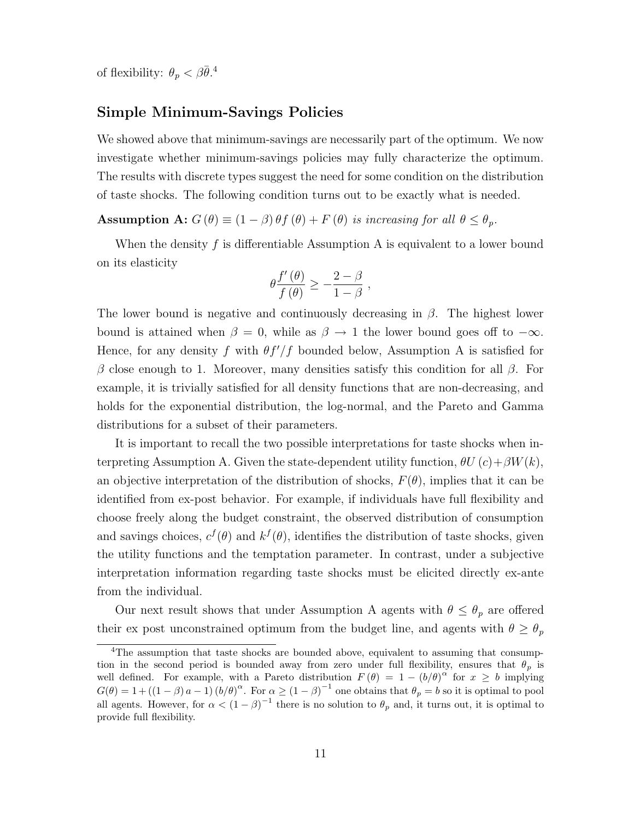of flexibility:  $\theta_p < \beta \bar{\theta}$ .<sup>4</sup>

### Simple Minimum-Savings Policies

We showed above that minimum-savings are necessarily part of the optimum. We now investigate whether minimum-savings policies may fully characterize the optimum. The results with discrete types suggest the need for some condition on the distribution of taste shocks. The following condition turns out to be exactly what is needed.

Assumption A:  $G(\theta) \equiv (1 - \beta) \theta f(\theta) + F(\theta)$  is increasing for all  $\theta \le \theta_p$ .

When the density  $f$  is differentiable Assumption A is equivalent to a lower bound on its elasticity

$$
\theta \frac{f'(\theta)}{f(\theta)} \ge -\frac{2-\beta}{1-\beta} ,
$$

The lower bound is negative and continuously decreasing in  $\beta$ . The highest lower bound is attained when  $\beta = 0$ , while as  $\beta \rightarrow 1$  the lower bound goes off to  $-\infty$ . Hence, for any density f with  $\theta f'/f$  bounded below, Assumption A is satisfied for β close enough to 1. Moreover, many densities satisfy this condition for all β. For example, it is trivially satisfied for all density functions that are non-decreasing, and holds for the exponential distribution, the log-normal, and the Pareto and Gamma distributions for a subset of their parameters.

It is important to recall the two possible interpretations for taste shocks when interpreting Assumption A. Given the state-dependent utility function,  $\theta U(c) + \beta W(k)$ , an objective interpretation of the distribution of shocks,  $F(\theta)$ , implies that it can be identified from ex-post behavior. For example, if individuals have full flexibility and choose freely along the budget constraint, the observed distribution of consumption and savings choices,  $c^f(\theta)$  and  $k^f(\theta)$ , identifies the distribution of taste shocks, given the utility functions and the temptation parameter. In contrast, under a subjective interpretation information regarding taste shocks must be elicited directly ex-ante from the individual.

Our next result shows that under Assumption A agents with  $\theta \leq \theta_p$  are offered their ex post unconstrained optimum from the budget line, and agents with  $\theta \ge \theta_p$ 

<sup>&</sup>lt;sup>4</sup>The assumption that taste shocks are bounded above, equivalent to assuming that consumption in the second period is bounded away from zero under full flexibility, ensures that  $\theta_p$  is well defined. For example, with a Pareto distribution  $F(\theta) = 1 - (b/\theta)^{\alpha}$  for  $x \geq b$  implying  $G(\theta) = 1 + ((1 - \beta) a - 1) (b/\theta)^{\alpha}$ . For  $\alpha \ge (1 - \beta)^{-1}$  one obtains that  $\theta_p = b$  so it is optimal to pool all agents. However, for  $\alpha < (1 - \beta)^{-1}$  there is no solution to  $\theta_p$  and, it turns out, it is optimal to provide full flexibility.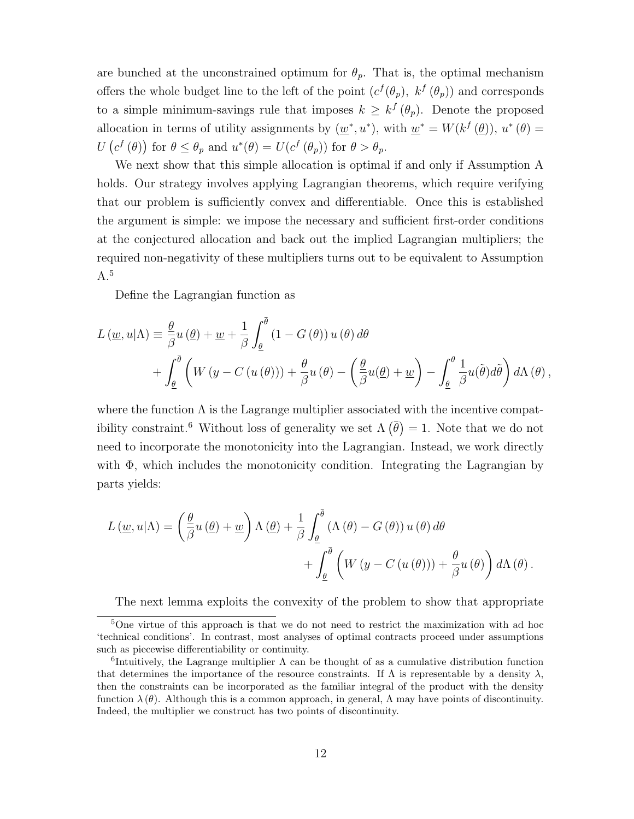are bunched at the unconstrained optimum for  $\theta_p$ . That is, the optimal mechanism offers the whole budget line to the left of the point  $(c^f(\theta_p), k^f(\theta_p))$  and corresponds to a simple minimum-savings rule that imposes  $k \geq k^{f}(\theta_{p})$ . Denote the proposed allocation in terms of utility assignments by  $(\underline{w}^*, u^*)$ , with  $\underline{w}^* = W(k^f(\underline{\theta}))$ ,  $u^*(\theta) =$  $U\left(c^{f}\left(\theta\right)\right)$  for  $\theta \leq \theta_p$  and  $u^*(\theta) = U(c^{f}\left(\theta_p\right))$  for  $\theta > \theta_p$ .

We next show that this simple allocation is optimal if and only if Assumption A holds. Our strategy involves applying Lagrangian theorems, which require verifying that our problem is sufficiently convex and differentiable. Once this is established the argument is simple: we impose the necessary and sufficient first-order conditions at the conjectured allocation and back out the implied Lagrangian multipliers; the required non-negativity of these multipliers turns out to be equivalent to Assumption  $A.<sup>5</sup>$ 

Define the Lagrangian function as

$$
L(\underline{w}, u | \Lambda) \equiv \frac{\theta}{\beta} u (\underline{\theta}) + \underline{w} + \frac{1}{\beta} \int_{\underline{\theta}}^{\overline{\theta}} (1 - G(\theta)) u(\theta) d\theta
$$
  
+ 
$$
\int_{\underline{\theta}}^{\overline{\theta}} \left( W(y - C(u(\theta))) + \frac{\theta}{\beta} u(\theta) - \left( \frac{\theta}{\beta} u(\underline{\theta}) + \underline{w} \right) - \int_{\underline{\theta}}^{\theta} \frac{1}{\beta} u(\tilde{\theta}) d\tilde{\theta} \right) d\Lambda(\theta),
$$

where the function  $\Lambda$  is the Lagrange multiplier associated with the incentive compatibility constraint.<sup>6</sup> Without loss of generality we set  $\Lambda(\bar{\theta}) = 1$ . Note that we do not need to incorporate the monotonicity into the Lagrangian. Instead, we work directly with  $\Phi$ , which includes the monotonicity condition. Integrating the Lagrangian by parts yields:

$$
L(\underline{w}, u | \Lambda) = \left(\frac{\underline{\theta}}{\beta} u(\underline{\theta}) + \underline{w}\right) \Lambda(\underline{\theta}) + \frac{1}{\beta} \int_{\underline{\theta}}^{\overline{\theta}} (\Lambda(\theta) - G(\theta)) u(\theta) d\theta + \int_{\underline{\theta}}^{\overline{\theta}} \left(W(y - C(u(\theta))) + \frac{\theta}{\beta} u(\theta)\right) d\Lambda(\theta).
$$

The next lemma exploits the convexity of the problem to show that appropriate

<sup>5</sup>One virtue of this approach is that we do not need to restrict the maximization with ad hoc 'technical conditions'. In contrast, most analyses of optimal contracts proceed under assumptions such as piecewise differentiability or continuity.

<sup>&</sup>lt;sup>6</sup>Intuitively, the Lagrange multiplier  $\Lambda$  can be thought of as a cumulative distribution function that determines the importance of the resource constraints. If  $\Lambda$  is representable by a density  $\lambda$ , then the constraints can be incorporated as the familiar integral of the product with the density function  $\lambda(\theta)$ . Although this is a common approach, in general,  $\Lambda$  may have points of discontinuity. Indeed, the multiplier we construct has two points of discontinuity.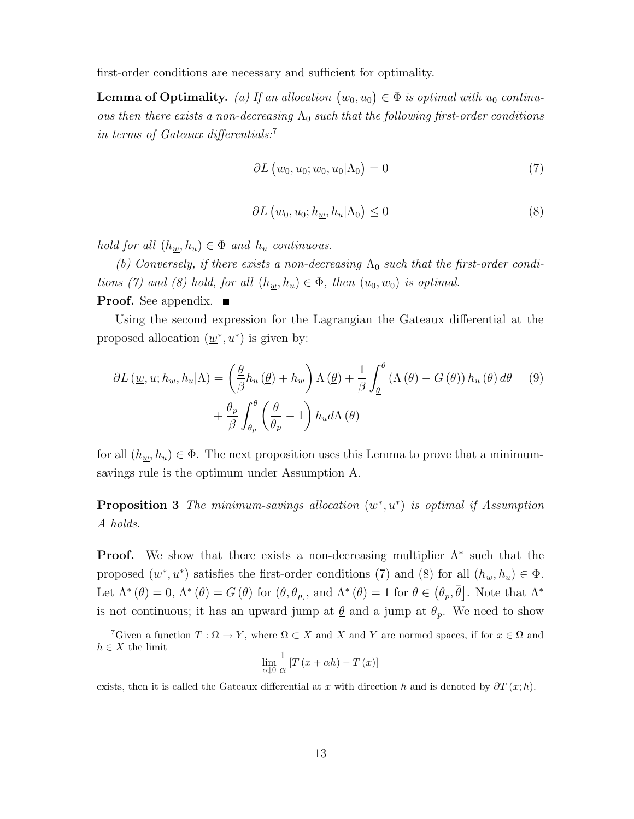first-order conditions are necessary and sufficient for optimality.

**Lemma of Optimality.** (a) If an allocation  $(\underline{w_0}, u_0) \in \Phi$  is optimal with  $u_0$  continuous then there exists a non-decreasing  $\Lambda_0$  such that the following first-order conditions in terms of Gateaux differentials:<sup>7</sup>

$$
\partial L\left(\underline{w_0}, u_0; \underline{w_0}, u_0 | \Lambda_0\right) = 0\tag{7}
$$

$$
\partial L\left(\underline{w_0}, u_0; h_{\underline{w}}, h_u | \Lambda_0\right) \le 0\tag{8}
$$

hold for all  $(h_{\underline{w}}, h_u) \in \Phi$  and  $h_u$  continuous.

(b) Conversely, if there exists a non-decreasing  $\Lambda_0$  such that the first-order conditions (7) and (8) hold, for all  $(h_{\underline{w}}, h_u) \in \Phi$ , then  $(u_0, w_0)$  is optimal.

#### **Proof.** See appendix.  $\blacksquare$

Using the second expression for the Lagrangian the Gateaux differential at the proposed allocation  $(\underline{w}^*, u^*)$  is given by:

$$
\partial L(\underline{w}, u; h_{\underline{w}}, h_u | \Lambda) = \left(\frac{\theta}{\beta} h_u(\underline{\theta}) + h_{\underline{w}}\right) \Lambda(\underline{\theta}) + \frac{1}{\beta} \int_{\underline{\theta}}^{\overline{\theta}} (\Lambda(\theta) - G(\theta)) h_u(\theta) d\theta \qquad (9) + \frac{\theta_p}{\beta} \int_{\theta_p}^{\overline{\theta}} \left(\frac{\theta}{\theta_p} - 1\right) h_u d\Lambda(\theta)
$$

for all  $(h_{\underline{w}}, h_u) \in \Phi$ . The next proposition uses this Lemma to prove that a minimumsavings rule is the optimum under Assumption A.

**Proposition 3** The minimum-savings allocation  $(\underline{w}^*, u^*)$  is optimal if Assumption A holds.

**Proof.** We show that there exists a non-decreasing multiplier  $\Lambda^*$  such that the proposed  $(\underline{w}^*, u^*)$  satisfies the first-order conditions (7) and (8) for all  $(h_{\underline{w}}, h_u) \in \Phi$ . Let  $\Lambda^*(\underline{\theta}) = 0$ ,  $\Lambda^*(\theta) = G(\theta)$  for  $(\underline{\theta}, \theta_p]$ , and  $\Lambda^*(\theta) = 1$  for  $\theta \in (\theta_p, \overline{\theta}]$ . Note that  $\Lambda^*$ is not continuous; it has an upward jump at  $\theta$  and a jump at  $\theta_p$ . We need to show

$$
\lim_{\alpha \downarrow 0} \frac{1}{\alpha} \left[ T \left( x + \alpha h \right) - T \left( x \right) \right]
$$

exists, then it is called the Gateaux differential at x with direction h and is denoted by  $\partial T(x; h)$ .

<sup>&</sup>lt;sup>7</sup>Given a function  $T : \Omega \to Y$ , where  $\Omega \subset X$  and X and Y are normed spaces, if for  $x \in \Omega$  and  $h \in X$  the limit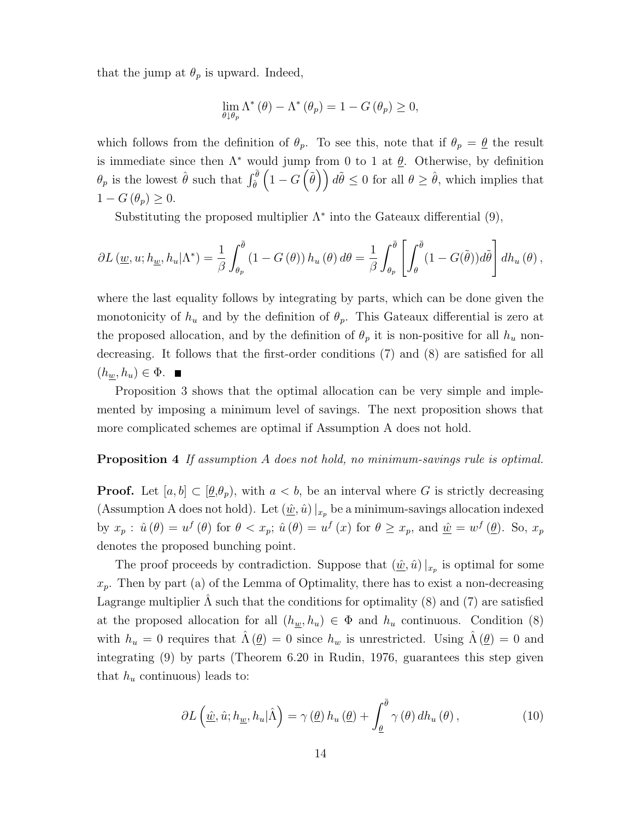that the jump at  $\theta_p$  is upward. Indeed,

$$
\lim_{\theta \downarrow \theta_p} \Lambda^* \left( \theta \right) - \Lambda^* \left( \theta_p \right) = 1 - G \left( \theta_p \right) \ge 0,
$$

which follows from the definition of  $\theta_p$ . To see this, note that if  $\theta_p = \theta$  the result is immediate since then  $\Lambda^*$  would jump from 0 to 1 at  $\underline{\theta}$ . Otherwise, by definition  $\theta_p$  is the lowest  $\hat{\theta}$  such that  $\int_{\hat{\theta}}^{\bar{\theta}} \left(1 - G\left(\tilde{\theta}\right)\right) d\tilde{\theta} \leq 0$  for all  $\theta \geq \hat{\theta}$ , which implies that  $1-G(\theta_p)\geq 0.$ 

Substituting the proposed multiplier  $\Lambda^*$  into the Gateaux differential  $(9)$ ,

$$
\partial L(\underline{w}, u; h_{\underline{w}}, h_u | \Lambda^*) = \frac{1}{\beta} \int_{\theta_p}^{\overline{\theta}} (1 - G(\theta)) h_u(\theta) d\theta = \frac{1}{\beta} \int_{\theta_p}^{\overline{\theta}} \left[ \int_{\theta}^{\overline{\theta}} (1 - G(\tilde{\theta})) d\tilde{\theta} \right] dh_u(\theta),
$$

where the last equality follows by integrating by parts, which can be done given the monotonicity of  $h_u$  and by the definition of  $\theta_p$ . This Gateaux differential is zero at the proposed allocation, and by the definition of  $\theta_p$  it is non-positive for all  $h_u$  nondecreasing. It follows that the first-order conditions (7) and (8) are satisfied for all  $(h_w, h_u) \in \Phi$ .

Proposition 3 shows that the optimal allocation can be very simple and implemented by imposing a minimum level of savings. The next proposition shows that more complicated schemes are optimal if Assumption A does not hold.

#### Proposition 4 If assumption A does not hold, no minimum-savings rule is optimal.

**Proof.** Let  $[a, b] \subset [\underline{\theta}, \theta_p)$ , with  $a < b$ , be an interval where G is strictly decreasing (Assumption A does not hold). Let  $(\underline{\hat{w}}, \hat{u})|_{x_p}$  be a minimum-savings allocation indexed by  $x_p : \hat{u}(\theta) = u^f(\theta)$  for  $\theta < x_p$ ;  $\hat{u}(\theta) = u^f(x)$  for  $\theta \ge x_p$ , and  $\underline{\hat{w}} = w^f(\underline{\theta})$ . So,  $x_p$ denotes the proposed bunching point.

The proof proceeds by contradiction. Suppose that  $(\underline{\hat{w}}, \hat{u})|_{x_p}$  is optimal for some  $x_p$ . Then by part (a) of the Lemma of Optimality, there has to exist a non-decreasing Lagrange multiplier  $\Lambda$  such that the conditions for optimality (8) and (7) are satisfied at the proposed allocation for all  $(h_{\underline{w}}, h_u) \in \Phi$  and  $h_u$  continuous. Condition (8) with  $h_u = 0$  requires that  $\hat{\Lambda}(\underline{\theta}) = 0$  since  $h_w$  is unrestricted. Using  $\hat{\Lambda}(\underline{\theta}) = 0$  and integrating (9) by parts (Theorem 6.20 in Rudin, 1976, guarantees this step given that  $h_u$  continuous) leads to:

$$
\partial L\left(\underline{\hat{w}}, \hat{u}; h_{\underline{w}}, h_u | \hat{\Lambda}\right) = \gamma\left(\underline{\theta}\right) h_u\left(\underline{\theta}\right) + \int_{\underline{\theta}}^{\overline{\theta}} \gamma\left(\theta\right) dh_u\left(\theta\right),\tag{10}
$$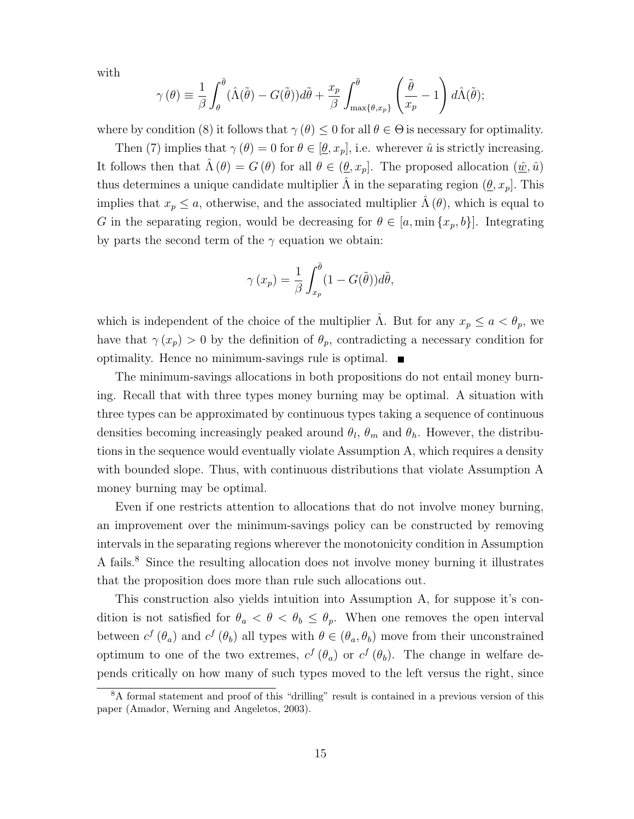with

$$
\gamma(\theta) \equiv \frac{1}{\beta} \int_{\theta}^{\overline{\theta}} (\hat{\Lambda}(\tilde{\theta}) - G(\tilde{\theta})) d\tilde{\theta} + \frac{x_p}{\beta} \int_{\max\{\theta, x_p\}}^{\overline{\theta}} \left(\frac{\tilde{\theta}}{x_p} - 1\right) d\hat{\Lambda}(\tilde{\theta});
$$

where by condition (8) it follows that  $\gamma(\theta) \leq 0$  for all  $\theta \in \Theta$  is necessary for optimality.

Then (7) implies that  $\gamma(\theta) = 0$  for  $\theta \in [\theta, x_p]$ , i.e. wherever  $\hat{u}$  is strictly increasing. It follows then that  $\hat{\Lambda}(\theta) = G(\theta)$  for all  $\theta \in (\underline{\theta}, x_p]$ . The proposed allocation  $(\underline{\hat{w}}, \hat{u})$ thus determines a unique candidate multiplier  $\Lambda$  in the separating region  $(\underline{\theta}, x_p]$ . This implies that  $x_p \leq a$ , otherwise, and the associated multiplier  $\hat{\Lambda}(\theta)$ , which is equal to G in the separating region, would be decreasing for  $\theta \in [a, \min\{x_p, b\}]$ . Integrating by parts the second term of the  $\gamma$  equation we obtain:

$$
\gamma(x_p) = \frac{1}{\beta} \int_{x_p}^{\bar{\theta}} (1 - G(\tilde{\theta})) d\tilde{\theta},
$$

which is independent of the choice of the multiplier  $\hat{\Lambda}$ . But for any  $x_p \leq a < \theta_p$ , we have that  $\gamma(x_p) > 0$  by the definition of  $\theta_p$ , contradicting a necessary condition for optimality. Hence no minimum-savings rule is optimal.

The minimum-savings allocations in both propositions do not entail money burning. Recall that with three types money burning may be optimal. A situation with three types can be approximated by continuous types taking a sequence of continuous densities becoming increasingly peaked around  $\theta_l$ ,  $\theta_m$  and  $\theta_h$ . However, the distributions in the sequence would eventually violate Assumption A, which requires a density with bounded slope. Thus, with continuous distributions that violate Assumption A money burning may be optimal.

Even if one restricts attention to allocations that do not involve money burning, an improvement over the minimum-savings policy can be constructed by removing intervals in the separating regions wherever the monotonicity condition in Assumption A fails.<sup>8</sup> Since the resulting allocation does not involve money burning it illustrates that the proposition does more than rule such allocations out.

This construction also yields intuition into Assumption A, for suppose it's condition is not satisfied for  $\theta_a < \theta < \theta_b \leq \theta_p$ . When one removes the open interval between  $c^f$  ( $\theta_a$ ) and  $c^f$  ( $\theta_b$ ) all types with  $\theta \in (\theta_a, \theta_b)$  move from their unconstrained optimum to one of the two extremes,  $c^f(\theta_a)$  or  $c^f(\theta_b)$ . The change in welfare depends critically on how many of such types moved to the left versus the right, since

<sup>8</sup>A formal statement and proof of this "drilling" result is contained in a previous version of this paper (Amador, Werning and Angeletos, 2003).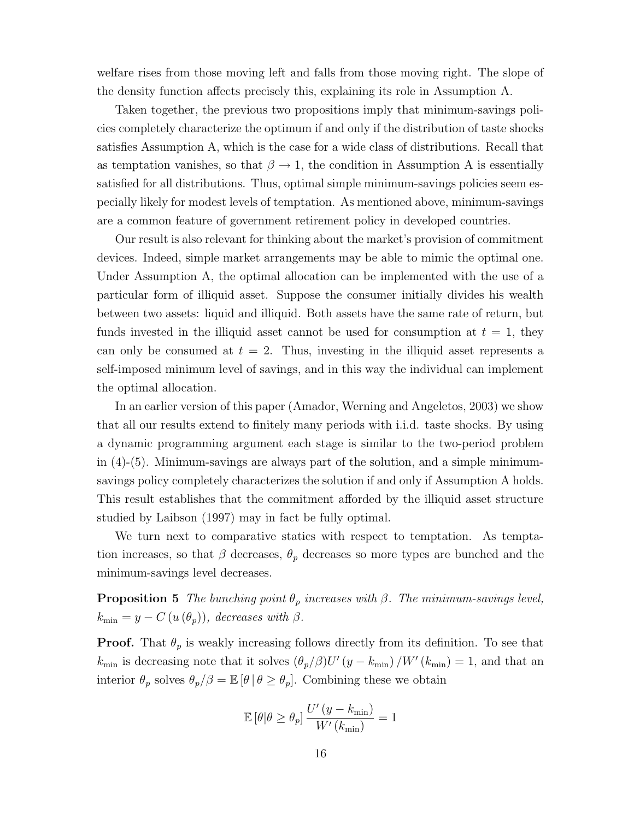welfare rises from those moving left and falls from those moving right. The slope of the density function affects precisely this, explaining its role in Assumption A.

Taken together, the previous two propositions imply that minimum-savings policies completely characterize the optimum if and only if the distribution of taste shocks satisfies Assumption A, which is the case for a wide class of distributions. Recall that as temptation vanishes, so that  $\beta \to 1$ , the condition in Assumption A is essentially satisfied for all distributions. Thus, optimal simple minimum-savings policies seem especially likely for modest levels of temptation. As mentioned above, minimum-savings are a common feature of government retirement policy in developed countries.

Our result is also relevant for thinking about the market's provision of commitment devices. Indeed, simple market arrangements may be able to mimic the optimal one. Under Assumption A, the optimal allocation can be implemented with the use of a particular form of illiquid asset. Suppose the consumer initially divides his wealth between two assets: liquid and illiquid. Both assets have the same rate of return, but funds invested in the illiquid asset cannot be used for consumption at  $t = 1$ , they can only be consumed at  $t = 2$ . Thus, investing in the illiquid asset represents a self-imposed minimum level of savings, and in this way the individual can implement the optimal allocation.

In an earlier version of this paper (Amador, Werning and Angeletos, 2003) we show that all our results extend to finitely many periods with i.i.d. taste shocks. By using a dynamic programming argument each stage is similar to the two-period problem in  $(4)-(5)$ . Minimum-savings are always part of the solution, and a simple minimumsavings policy completely characterizes the solution if and only if Assumption A holds. This result establishes that the commitment afforded by the illiquid asset structure studied by Laibson (1997) may in fact be fully optimal.

We turn next to comparative statics with respect to temptation. As temptation increases, so that  $\beta$  decreases,  $\theta_p$  decreases so more types are bunched and the minimum-savings level decreases.

**Proposition 5** The bunching point  $\theta_p$  increases with  $\beta$ . The minimum-savings level,  $k_{\min} = y - C(u(\theta_p)),$  decreases with  $\beta$ .

**Proof.** That  $\theta_p$  is weakly increasing follows directly from its definition. To see that  $k_{\text{min}}$  is decreasing note that it solves  $(\theta_p/\beta)U'(y - k_{\text{min}})/W'(k_{\text{min}}) = 1$ , and that an interior  $\theta_p$  solves  $\theta_p/\beta = \mathbb{E}[\theta | \theta \ge \theta_p]$ . Combining these we obtain

$$
\mathbb{E}\left[\theta|\theta \geq \theta_p\right] \frac{U'(y - k_{\min})}{W'(k_{\min})} = 1
$$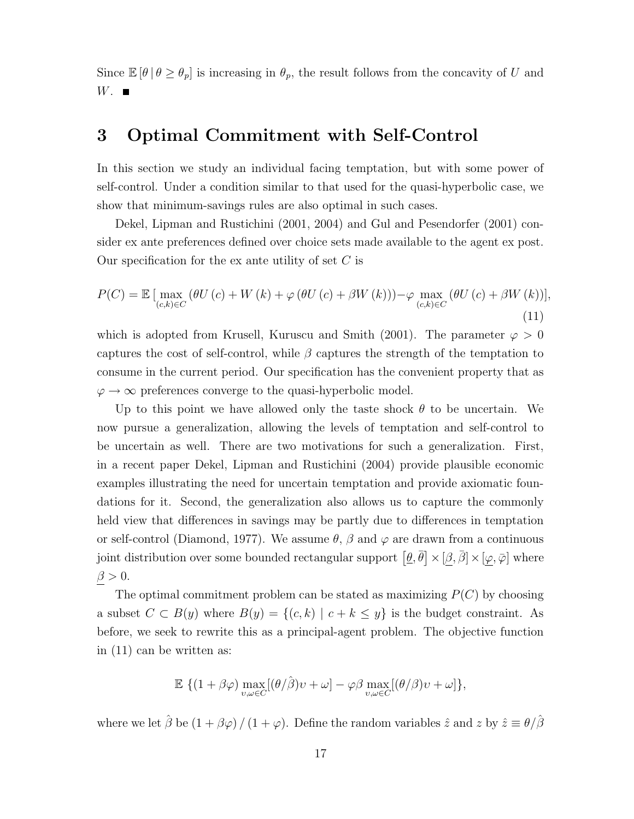Since  $\mathbb{E}[\theta \mid \theta \geq \theta_p]$  is increasing in  $\theta_p$ , the result follows from the concavity of U and  $W.$ 

### 3 Optimal Commitment with Self-Control

In this section we study an individual facing temptation, but with some power of self-control. Under a condition similar to that used for the quasi-hyperbolic case, we show that minimum-savings rules are also optimal in such cases.

Dekel, Lipman and Rustichini (2001, 2004) and Gul and Pesendorfer (2001) consider ex ante preferences defined over choice sets made available to the agent ex post. Our specification for the ex ante utility of set  $C$  is

$$
P(C) = \mathbb{E} \left[ \max_{(c,k)\in C} \left( \theta U(c) + W(k) + \varphi \left( \theta U(c) + \beta W(k) \right) \right) - \varphi \max_{(c,k)\in C} \left( \theta U(c) + \beta W(k) \right) \right],
$$
\n(11)

which is adopted from Krusell, Kuruscu and Smith (2001). The parameter  $\varphi > 0$ captures the cost of self-control, while  $\beta$  captures the strength of the temptation to consume in the current period. Our specification has the convenient property that as  $\varphi \to \infty$  preferences converge to the quasi-hyperbolic model.

Up to this point we have allowed only the taste shock  $\theta$  to be uncertain. We now pursue a generalization, allowing the levels of temptation and self-control to be uncertain as well. There are two motivations for such a generalization. First, in a recent paper Dekel, Lipman and Rustichini (2004) provide plausible economic examples illustrating the need for uncertain temptation and provide axiomatic foundations for it. Second, the generalization also allows us to capture the commonly held view that differences in savings may be partly due to differences in temptation or self-control (Diamond, 1977). We assume  $\theta$ ,  $\beta$  and  $\varphi$  are drawn from a continuous joint distribution over some bounded rectangular support  $[\underline{\theta}, \overline{\theta}] \times [\beta, \overline{\beta}] \times [\varphi, \overline{\varphi}]$  where  $\beta > 0$ .

The optimal commitment problem can be stated as maximizing  $P(C)$  by choosing a subset  $C \subset B(y)$  where  $B(y) = \{(c, k) | c + k \leq y\}$  is the budget constraint. As before, we seek to rewrite this as a principal-agent problem. The objective function in (11) can be written as:

$$
\mathbb{E}\left\{ (1+\beta\varphi)\max_{v,\omega\in C} [(\theta/\hat{\beta})v+\omega] - \varphi\beta \max_{v,\omega\in C} [(\theta/\beta)v+\omega] \right\},\
$$

where we let  $\hat{\beta}$  be  $(1 + \beta \varphi) / (1 + \varphi)$ . Define the random variables  $\hat{z}$  and  $z$  by  $\hat{z} \equiv \theta / \hat{\beta}$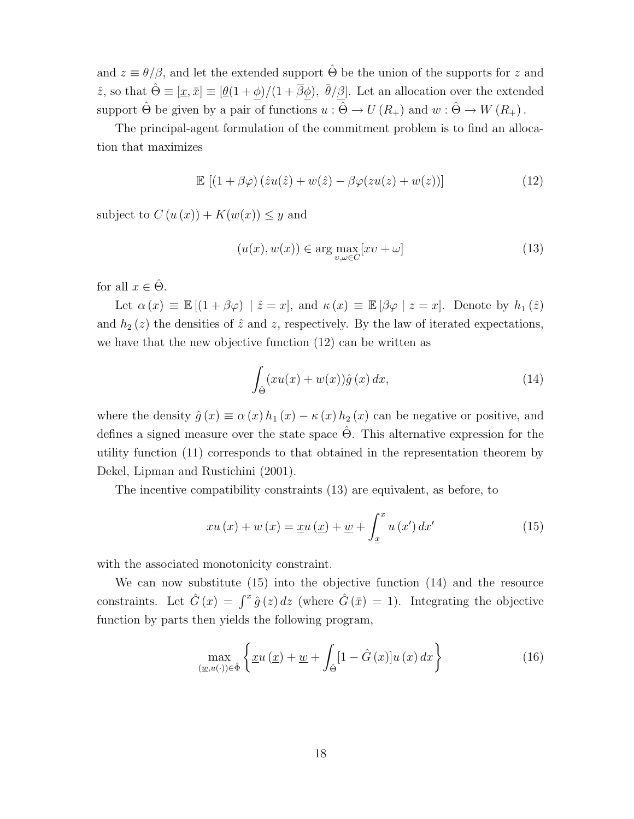and  $z \equiv \theta/\beta$ , and let the extended support  $\hat{\Theta}$  be the union of the supports for z and  $\hat{z}$ , so that  $\hat{\Theta} \equiv [\underline{x}, \bar{x}] \equiv [\underline{\theta}(1+\phi)/(1+\overline{\beta}\phi), \bar{\theta}/\beta]$ . Let an allocation over the extended support  $\hat{\Theta}$  be given by a pair of functions  $u : \hat{\Theta} \to U(R_+)$  and  $w : \hat{\Theta} \to W(R_+)$ .

The principal-agent formulation of the commitment problem is to find an allocation that maximizes

$$
\mathbb{E} \left[ (1 + \beta \varphi) \left( \hat{z} u(\hat{z}) + w(\hat{z}) - \beta \varphi( z u(z) + w(z) ) \right) \right] \tag{12}
$$

subject to  $C(u(x)) + K(w(x)) \leq y$  and

$$
(u(x), w(x)) \in \arg\max_{v, \omega \in C} [xv + \omega]
$$
\n(13)

for all  $x \in \hat{\Theta}$ .

Let  $\alpha(x) \equiv \mathbb{E}[(1 + \beta \varphi) | \hat{z} = x]$ , and  $\kappa(x) \equiv \mathbb{E}[\beta \varphi | z = x]$ . Denote by  $h_1(\hat{z})$ and  $h_2(z)$  the densities of  $\hat{z}$  and  $z$ , respectively. By the law of iterated expectations, we have that the new objective function (12) can be written as

$$
\int_{\hat{\Theta}} (xu(x) + w(x))\hat{g}(x) dx, \tag{14}
$$

where the density  $\hat{g}(x) \equiv \alpha(x) h_1(x) - \kappa(x) h_2(x)$  can be negative or positive, and defines a signed measure over the state space  $\Theta$ . This alternative expression for the utility function (11) corresponds to that obtained in the representation theorem by Dekel, Lipman and Rustichini (2001).

The incentive compatibility constraints (13) are equivalent, as before, to

$$
xu(x) + w(x) = \underline{x}u(\underline{x}) + \underline{w} + \int_{\underline{x}}^{x} u(x') dx'
$$
 (15)

with the associated monotonicity constraint.

We can now substitute (15) into the objective function (14) and the resource constraints. Let  $\hat{G}(x) = \int^x \hat{g}(z) dz$  (where  $\hat{G}(\bar{x}) = 1$ ). Integrating the objective function by parts then yields the following program,

$$
\max_{\left(\underline{w},u(\cdot)\right)\in\hat{\Phi}}\left\{\underline{x}u\left(\underline{x}\right)+\underline{w}+\int_{\hat{\Theta}}[1-\hat{G}\left(x\right)]u\left(x\right)dx\right\}\tag{16}
$$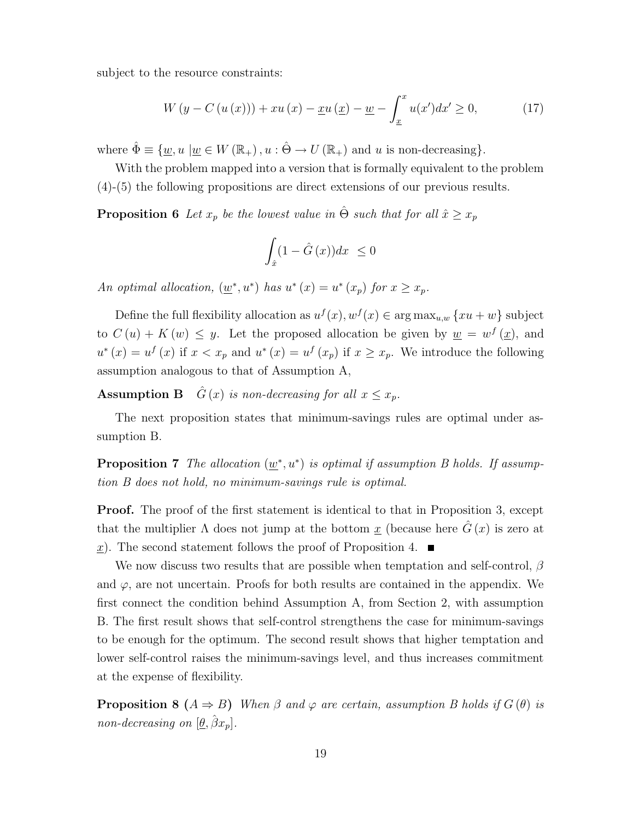subject to the resource constraints:

$$
W\left(y - C\left(u\left(x\right)\right)\right) + xu\left(x\right) - \underline{x}u\left(\underline{x}\right) - \underline{w} - \int_{\underline{x}}^{x} u\left(x'\right)dx' \ge 0,\tag{17}
$$

where  $\hat{\Phi} \equiv \{ \underline{w}, u \mid \underline{w} \in W(\mathbb{R}_+), u : \hat{\Theta} \to U(\mathbb{R}_+) \text{ and } u \text{ is non-decreasing} \}.$ 

With the problem mapped into a version that is formally equivalent to the problem (4)-(5) the following propositions are direct extensions of our previous results.

**Proposition 6** Let  $x_p$  be the lowest value in  $\hat{\Theta}$  such that for all  $\hat{x} \geq x_p$ 

$$
\int_{\hat{x}} (1 - \hat{G}(x)) dx \le 0
$$

An optimal allocation,  $(\underline{w}^*, u^*)$  has  $u^*(x) = u^*(x_p)$  for  $x \ge x_p$ .

Define the full flexibility allocation as  $u^f(x)$ ,  $w^f(x) \in \arg \max_{u,w} \{xu + w\}$  subject to  $C(u) + K(w) \leq y$ . Let the proposed allocation be given by  $\underline{w} = w^f(\underline{x})$ , and  $u^*(x) = u^f(x)$  if  $x < x_p$  and  $u^*(x) = u^f(x_p)$  if  $x \ge x_p$ . We introduce the following assumption analogous to that of Assumption A,

**Assumption B**  $\hat{G}(x)$  is non-decreasing for all  $x \leq x_p$ .

The next proposition states that minimum-savings rules are optimal under assumption B.

**Proposition 7** The allocation  $(\underline{w}^*, u^*)$  is optimal if assumption B holds. If assumption B does not hold, no minimum-savings rule is optimal.

**Proof.** The proof of the first statement is identical to that in Proposition 3, except that the multiplier  $\Lambda$  does not jump at the bottom  $\underline{x}$  (because here  $\hat{G}(x)$  is zero at x). The second statement follows the proof of Proposition 4.  $\blacksquare$ 

We now discuss two results that are possible when temptation and self-control,  $\beta$ and  $\varphi$ , are not uncertain. Proofs for both results are contained in the appendix. We first connect the condition behind Assumption A, from Section 2, with assumption B. The first result shows that self-control strengthens the case for minimum-savings to be enough for the optimum. The second result shows that higher temptation and lower self-control raises the minimum-savings level, and thus increases commitment at the expense of flexibility.

**Proposition 8**  $(A \Rightarrow B)$  When  $\beta$  and  $\varphi$  are certain, assumption B holds if  $G(\theta)$  is non-decreasing on  $[\underline{\theta}, \hat{\beta}x_p]$ .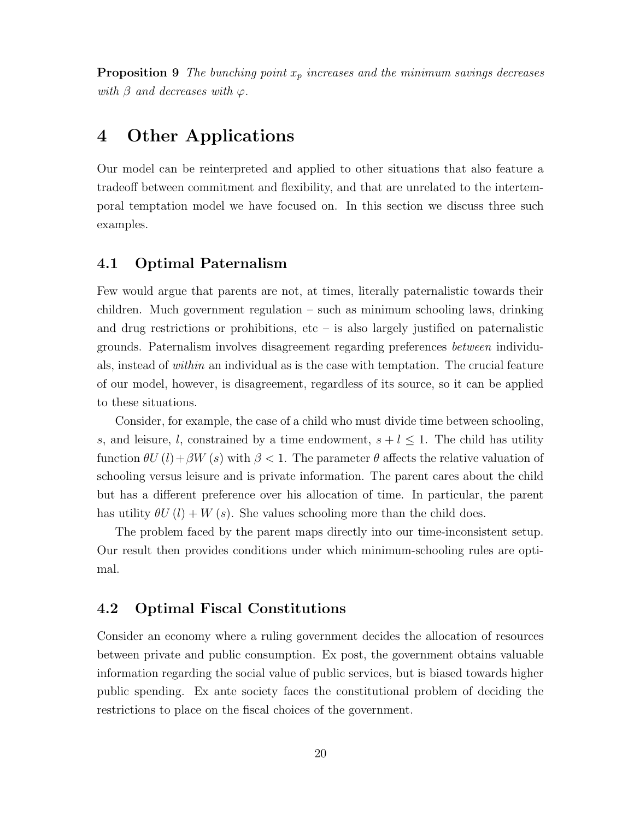**Proposition 9** The bunching point  $x_p$  increases and the minimum savings decreases with  $\beta$  and decreases with  $\varphi$ .

### 4 Other Applications

Our model can be reinterpreted and applied to other situations that also feature a tradeoff between commitment and flexibility, and that are unrelated to the intertemporal temptation model we have focused on. In this section we discuss three such examples.

### 4.1 Optimal Paternalism

Few would argue that parents are not, at times, literally paternalistic towards their children. Much government regulation – such as minimum schooling laws, drinking and drug restrictions or prohibitions, etc  $-$  is also largely justified on paternalistic grounds. Paternalism involves disagreement regarding preferences between individuals, instead of within an individual as is the case with temptation. The crucial feature of our model, however, is disagreement, regardless of its source, so it can be applied to these situations.

Consider, for example, the case of a child who must divide time between schooling, s, and leisure, l, constrained by a time endowment,  $s + l \leq 1$ . The child has utility function  $\theta U(l)+\beta W(s)$  with  $\beta < 1$ . The parameter  $\theta$  affects the relative valuation of schooling versus leisure and is private information. The parent cares about the child but has a different preference over his allocation of time. In particular, the parent has utility  $\theta U(l) + W(s)$ . She values schooling more than the child does.

The problem faced by the parent maps directly into our time-inconsistent setup. Our result then provides conditions under which minimum-schooling rules are optimal.

### 4.2 Optimal Fiscal Constitutions

Consider an economy where a ruling government decides the allocation of resources between private and public consumption. Ex post, the government obtains valuable information regarding the social value of public services, but is biased towards higher public spending. Ex ante society faces the constitutional problem of deciding the restrictions to place on the fiscal choices of the government.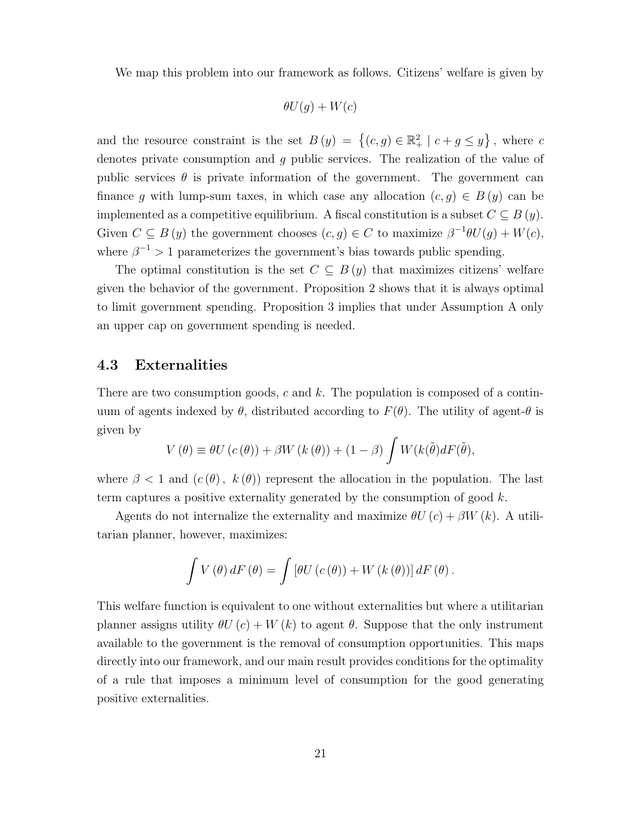We map this problem into our framework as follows. Citizens' welfare is given by

$$
\theta U(g) + W(c)
$$

and the resource constraint is the set  $B(y) = \{(c, g) \in \mathbb{R}^2_+ | c + g \leq y\}$ , where c denotes private consumption and g public services. The realization of the value of public services  $\theta$  is private information of the government. The government can finance g with lump-sum taxes, in which case any allocation  $(c, g) \in B(y)$  can be implemented as a competitive equilibrium. A fiscal constitution is a subset  $C \subseteq B(y)$ . Given  $C \subseteq B(y)$  the government chooses  $(c, g) \in C$  to maximize  $\beta^{-1}\theta U(g) + W(c)$ , where  $\beta^{-1} > 1$  parameterizes the government's bias towards public spending.

The optimal constitution is the set  $C \subseteq B(y)$  that maximizes citizens' welfare given the behavior of the government. Proposition 2 shows that it is always optimal to limit government spending. Proposition 3 implies that under Assumption A only an upper cap on government spending is needed.

### 4.3 Externalities

There are two consumption goods, c and  $k$ . The population is composed of a continuum of agents indexed by  $\theta$ , distributed according to  $F(\theta)$ . The utility of agent- $\theta$  is given by

$$
V(\theta) \equiv \theta U(c(\theta)) + \beta W(k(\theta)) + (1 - \beta) \int W(k(\tilde{\theta})dF(\tilde{\theta}),
$$

where  $\beta < 1$  and  $(c(\theta), k(\theta))$  represent the allocation in the population. The last term captures a positive externality generated by the consumption of good  $k$ .

Agents do not internalize the externality and maximize  $\partial U(c) + \beta W(k)$ . A utilitarian planner, however, maximizes:

$$
\int V(\theta) dF(\theta) = \int [\theta U(c(\theta)) + W(k(\theta))] dF(\theta).
$$

This welfare function is equivalent to one without externalities but where a utilitarian planner assigns utility  $\theta U(c) + W(k)$  to agent  $\theta$ . Suppose that the only instrument available to the government is the removal of consumption opportunities. This maps directly into our framework, and our main result provides conditions for the optimality of a rule that imposes a minimum level of consumption for the good generating positive externalities.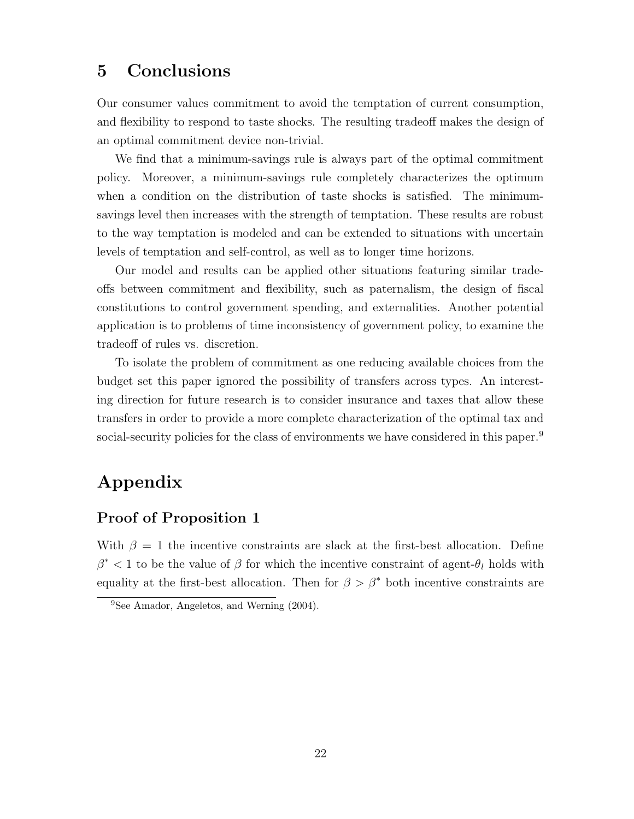## 5 Conclusions

Our consumer values commitment to avoid the temptation of current consumption, and flexibility to respond to taste shocks. The resulting tradeoff makes the design of an optimal commitment device non-trivial.

We find that a minimum-savings rule is always part of the optimal commitment policy. Moreover, a minimum-savings rule completely characterizes the optimum when a condition on the distribution of taste shocks is satisfied. The minimumsavings level then increases with the strength of temptation. These results are robust to the way temptation is modeled and can be extended to situations with uncertain levels of temptation and self-control, as well as to longer time horizons.

Our model and results can be applied other situations featuring similar tradeoffs between commitment and flexibility, such as paternalism, the design of fiscal constitutions to control government spending, and externalities. Another potential application is to problems of time inconsistency of government policy, to examine the tradeoff of rules vs. discretion.

To isolate the problem of commitment as one reducing available choices from the budget set this paper ignored the possibility of transfers across types. An interesting direction for future research is to consider insurance and taxes that allow these transfers in order to provide a more complete characterization of the optimal tax and social-security policies for the class of environments we have considered in this paper.<sup>9</sup>

# Appendix

### Proof of Proposition 1

With  $\beta = 1$  the incentive constraints are slack at the first-best allocation. Define  $\beta^*$  < 1 to be the value of  $\beta$  for which the incentive constraint of agent- $\theta_l$  holds with equality at the first-best allocation. Then for  $\beta > \beta^*$  both incentive constraints are

<sup>&</sup>lt;sup>9</sup>See Amador, Angeletos, and Werning (2004).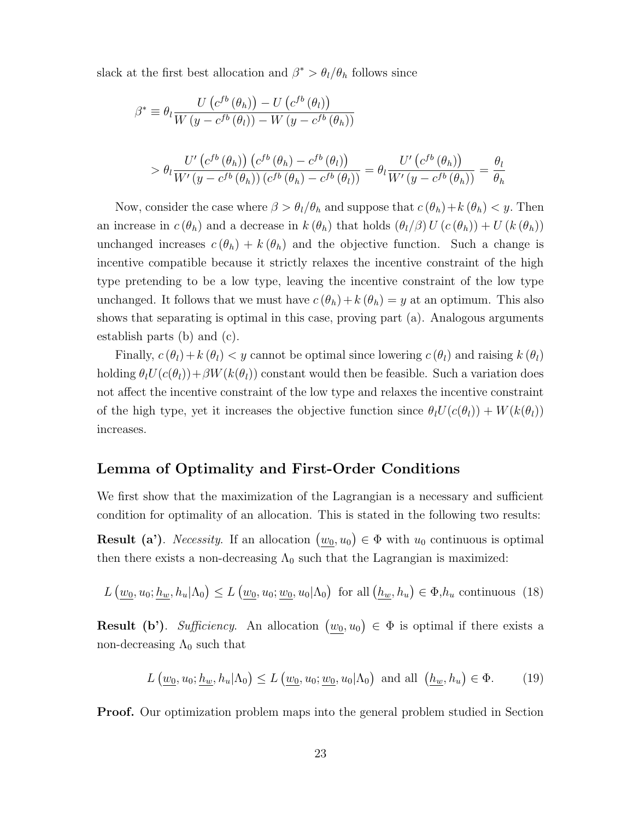slack at the first best allocation and  $\beta^* > \theta_l/\theta_h$  follows since

$$
\beta^* \equiv \theta_l \frac{U\left(c^{fb}\left(\theta_h\right)\right) - U\left(c^{fb}\left(\theta_l\right)\right)}{W\left(y - c^{fb}\left(\theta_l\right)\right) - W\left(y - c^{fb}\left(\theta_h\right)\right)}
$$
\n
$$
> \theta_l \frac{U'\left(c^{fb}\left(\theta_h\right)\right)\left(c^{fb}\left(\theta_h\right) - c^{fb}\left(\theta_l\right)\right)}{W'\left(y - c^{fb}\left(\theta_h\right)\right)\left(c^{fb}\left(\theta_h\right) - c^{fb}\left(\theta_l\right)\right)} = \theta_l \frac{U'\left(c^{fb}\left(\theta_h\right)\right)}{W'\left(y - c^{fb}\left(\theta_h\right)\right)} = \frac{\theta_l}{\theta_h}
$$

Now, consider the case where  $\beta > \theta_l/\theta_h$  and suppose that  $c(\theta_h) + k(\theta_h) < y$ . Then an increase in  $c(\theta_h)$  and a decrease in  $k(\theta_h)$  that holds  $(\theta_l/\beta) U(c(\theta_h)) + U(k(\theta_h))$ unchanged increases  $c(\theta_h) + k(\theta_h)$  and the objective function. Such a change is incentive compatible because it strictly relaxes the incentive constraint of the high type pretending to be a low type, leaving the incentive constraint of the low type unchanged. It follows that we must have  $c(\theta_h)+k(\theta_h) = y$  at an optimum. This also shows that separating is optimal in this case, proving part (a). Analogous arguments establish parts (b) and (c).

Finally,  $c(\theta_l)+k(\theta_l) < y$  cannot be optimal since lowering  $c(\theta_l)$  and raising  $k(\theta_l)$ holding  $\theta_l U(c(\theta_l))+\beta W(k(\theta_l))$  constant would then be feasible. Such a variation does not affect the incentive constraint of the low type and relaxes the incentive constraint of the high type, yet it increases the objective function since  $\theta_l U(c(\theta_l)) + W(k(\theta_l))$ increases.

### Lemma of Optimality and First-Order Conditions

We first show that the maximization of the Lagrangian is a necessary and sufficient condition for optimality of an allocation. This is stated in the following two results:

**Result (a')**. *Necessity*. If an allocation  $(w_0, u_0) \in \Phi$  with  $u_0$  continuous is optimal then there exists a non-decreasing  $\Lambda_0$  such that the Lagrangian is maximized:

$$
L(\underline{w_0}, u_0; \underline{h_w}, h_u | \Lambda_0) \le L(\underline{w_0}, u_0; \underline{w_0}, u_0 | \Lambda_0) \text{ for all } (\underline{h_w}, h_u) \in \Phi, h_u \text{ continuous } (18)
$$

**Result (b').** Sufficiency. An allocation  $(\underline{w_0}, u_0) \in \Phi$  is optimal if there exists a non-decreasing  $\Lambda_0$  such that

$$
L\left(\underline{w_0}, u_0; \underline{h_w}, h_u | \Lambda_0\right) \le L\left(\underline{w_0}, u_0; \underline{w_0}, u_0 | \Lambda_0\right) \text{ and all } \left(\underline{h_w}, h_u\right) \in \Phi. \tag{19}
$$

Proof. Our optimization problem maps into the general problem studied in Section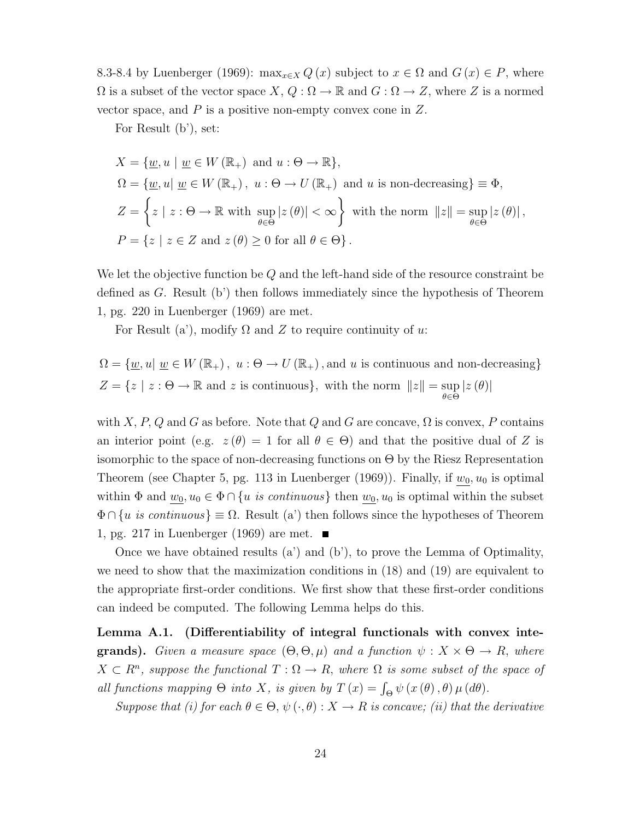8.3-8.4 by Luenberger (1969):  $\max_{x \in X} Q(x)$  subject to  $x \in \Omega$  and  $G(x) \in P$ , where  $\Omega$  is a subset of the vector space  $X, Q: \Omega \to \mathbb{R}$  and  $G: \Omega \to Z$ , where Z is a normed vector space, and  $P$  is a positive non-empty convex cone in  $Z$ .

For Result (b'), set:

$$
X = \{ \underline{w}, u \mid \underline{w} \in W (\mathbb{R}_{+}) \text{ and } u : \Theta \to \mathbb{R} \},
$$
  
\n
$$
\Omega = \{ \underline{w}, u \mid \underline{w} \in W (\mathbb{R}_{+}), u : \Theta \to U (\mathbb{R}_{+}) \text{ and } u \text{ is non-decreasing} \} \equiv \Phi,
$$
  
\n
$$
Z = \left\{ z \mid z : \Theta \to \mathbb{R} \text{ with } \sup_{\theta \in \Theta} |z(\theta)| < \infty \right\} \text{ with the norm } ||z|| = \sup_{\theta \in \Theta} |z(\theta)|,
$$
  
\n
$$
P = \{ z \mid z \in Z \text{ and } z(\theta) \ge 0 \text{ for all } \theta \in \Theta \}.
$$

We let the objective function be Q and the left-hand side of the resource constraint be defined as G. Result (b') then follows immediately since the hypothesis of Theorem 1, pg. 220 in Luenberger (1969) are met.

For Result (a'), modify  $\Omega$  and Z to require continuity of u:

$$
\Omega = \{ \underline{w}, u | \underline{w} \in W(\mathbb{R}_{+}), u : \Theta \to U(\mathbb{R}_{+}), \text{and } u \text{ is continuous and non-decreasing} \}
$$
  

$$
Z = \{ z \mid z : \Theta \to \mathbb{R} \text{ and } z \text{ is continuous} \}, \text{ with the norm } ||z|| = \sup_{\theta \in \Theta} |z(\theta)|
$$

with X, P, Q and G as before. Note that Q and G are concave,  $\Omega$  is convex, P contains an interior point (e.g.  $z(\theta) = 1$  for all  $\theta \in \Theta$ ) and that the positive dual of Z is isomorphic to the space of non-decreasing functions on  $\Theta$  by the Riesz Representation Theorem (see Chapter 5, pg. 113 in Luenberger (1969)). Finally, if  $w_0, u_0$  is optimal within  $\Phi$  and  $\underline{w_0}$ ,  $u_0 \in \Phi \cap \{u \text{ is continuous}\}\$  then  $\underline{w_0}$ ,  $u_0$  is optimal within the subset  $\Phi \cap \{u \text{ is continuous}\}\equiv \Omega.$  Result (a') then follows since the hypotheses of Theorem 1, pg. 217 in Luenberger (1969) are met.  $\blacksquare$ 

Once we have obtained results (a') and (b'), to prove the Lemma of Optimality, we need to show that the maximization conditions in (18) and (19) are equivalent to the appropriate first-order conditions. We first show that these first-order conditions can indeed be computed. The following Lemma helps do this.

Lemma A.1. (Differentiability of integral functionals with convex inte**grands).** Given a measure space  $(\Theta, \Theta, \mu)$  and a function  $\psi : X \times \Theta \to R$ , where  $X \subset \mathbb{R}^n$ , suppose the functional  $T : \Omega \to \mathbb{R}$ , where  $\Omega$  is some subset of the space of all functions mapping  $\Theta$  into X, is given by  $T(x) = \int_{\Theta} \psi(x(\theta), \theta) \mu(d\theta)$ .

Suppose that (i) for each  $\theta \in \Theta$ ,  $\psi(\cdot, \theta) : X \to R$  is concave; (ii) that the derivative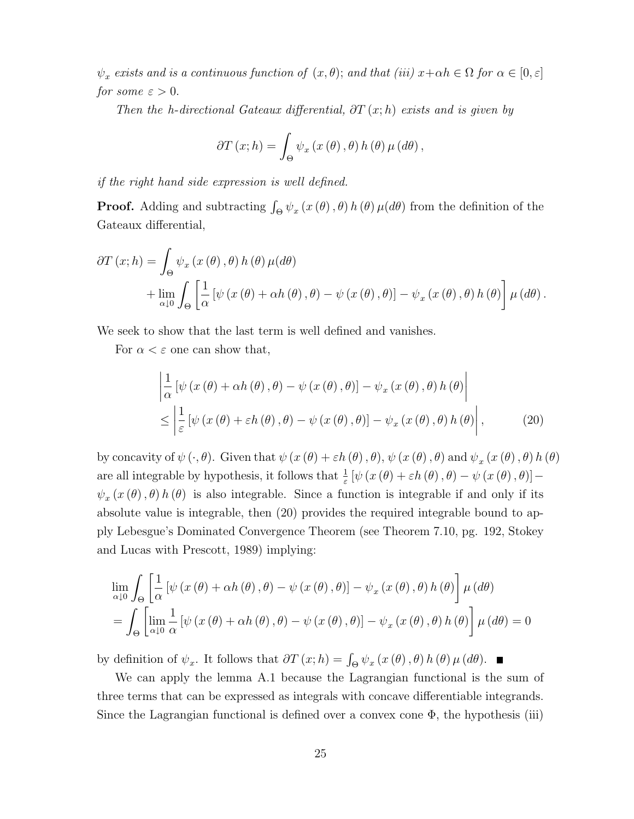$\psi_x$  exists and is a continuous function of  $(x, \theta)$ ; and that (iii)  $x+\alpha h \in \Omega$  for  $\alpha \in [0, \varepsilon]$ for some  $\varepsilon > 0$ .

Then the h-directional Gateaux differential,  $\partial T(x; h)$  exists and is given by

$$
\partial T(x; h) = \int_{\Theta} \psi_x(x(\theta), \theta) h(\theta) \mu(d\theta),
$$

if the right hand side expression is well defined.

**Proof.** Adding and subtracting  $\int_{\Theta} \psi_x(x(\theta), \theta) h(\theta) \mu(d\theta)$  from the definition of the Gateaux differential,

$$
\partial T (x; h) = \int_{\Theta} \psi_x (x (\theta), \theta) h (\theta) \mu (d\theta) + \lim_{\alpha \downarrow 0} \int_{\Theta} \left[ \frac{1}{\alpha} \left[ \psi (x (\theta) + \alpha h (\theta), \theta) - \psi (x (\theta), \theta) \right] - \psi_x (x (\theta), \theta) h (\theta) \right] \mu (d\theta).
$$

We seek to show that the last term is well defined and vanishes.

For  $\alpha < \varepsilon$  one can show that,

$$
\begin{aligned} &\left|\frac{1}{\alpha}\left[\psi\left(x\left(\theta\right)+\alpha h\left(\theta\right),\theta\right)-\psi\left(x\left(\theta\right),\theta\right)\right]-\psi_{x}\left(x\left(\theta\right),\theta\right)h\left(\theta\right)\right| \\ &\leq\left|\frac{1}{\varepsilon}\left[\psi\left(x\left(\theta\right)+\varepsilon h\left(\theta\right),\theta\right)-\psi\left(x\left(\theta\right),\theta\right)\right]-\psi_{x}\left(x\left(\theta\right),\theta\right)h\left(\theta\right)\right|,\end{aligned} \tag{20}
$$

by concavity of  $\psi(\cdot,\theta)$ . Given that  $\psi(x(\theta)+\varepsilon h(\theta),\theta)$ ,  $\psi(x(\theta),\theta)$  and  $\psi_x(x(\theta),\theta)$  h  $(\theta)$ are all integrable by hypothesis, it follows that  $\frac{1}{\varepsilon} [\psi(x(\theta) + \varepsilon h(\theta), \theta) - \psi(x(\theta), \theta)]$  $\psi_x(x(\theta), \theta) h(\theta)$  is also integrable. Since a function is integrable if and only if its absolute value is integrable, then (20) provides the required integrable bound to apply Lebesgue's Dominated Convergence Theorem (see Theorem 7.10, pg. 192, Stokey and Lucas with Prescott, 1989) implying:

$$
\lim_{\alpha \downarrow 0} \int_{\Theta} \left[ \frac{1}{\alpha} \left[ \psi \left( x \left( \theta \right) + \alpha h \left( \theta \right), \theta \right) - \psi \left( x \left( \theta \right), \theta \right) \right] - \psi_x \left( x \left( \theta \right), \theta \right) h \left( \theta \right) \right] \mu \left( d\theta \right)
$$
\n
$$
= \int_{\Theta} \left[ \lim_{\alpha \downarrow 0} \frac{1}{\alpha} \left[ \psi \left( x \left( \theta \right) + \alpha h \left( \theta \right), \theta \right) - \psi \left( x \left( \theta \right), \theta \right) \right] - \psi_x \left( x \left( \theta \right), \theta \right) h \left( \theta \right) \right] \mu \left( d\theta \right) = 0
$$

by definition of  $\psi_x$ . It follows that  $\partial T(x;h) = \int_{\Theta} \psi_x(x(\theta),\theta) h(\theta) \mu(d\theta)$ .

We can apply the lemma A.1 because the Lagrangian functional is the sum of three terms that can be expressed as integrals with concave differentiable integrands. Since the Lagrangian functional is defined over a convex cone  $\Phi$ , the hypothesis (iii)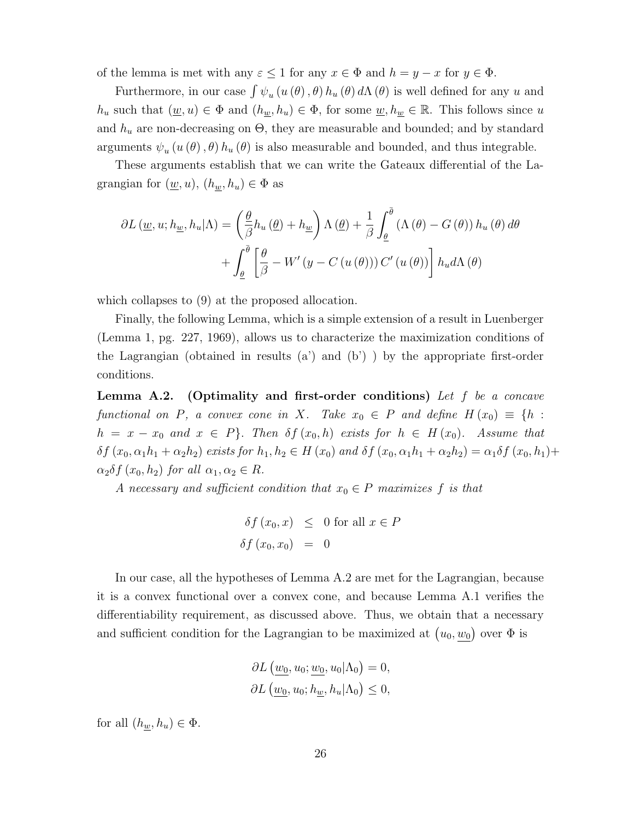of the lemma is met with any  $\varepsilon \leq 1$  for any  $x \in \Phi$  and  $h = y - x$  for  $y \in \Phi$ .

Furthermore, in our case  $\int \psi_u(u(\theta), \theta) h_u(\theta) d\Lambda(\theta)$  is well defined for any u and  $h_u$  such that  $(\underline{w}, u) \in \Phi$  and  $(h_{\underline{w}}, h_u) \in \Phi$ , for some  $\underline{w}, h_{\underline{w}} \in \mathbb{R}$ . This follows since u and  $h_u$  are non-decreasing on  $\Theta$ , they are measurable and bounded; and by standard arguments  $\psi_u(u(\theta), \theta) h_u(\theta)$  is also measurable and bounded, and thus integrable.

These arguments establish that we can write the Gateaux differential of the Lagrangian for  $(\underline{w}, u)$ ,  $(h_w, h_u) \in \Phi$  as

$$
\partial L(\underline{w}, u; h_{\underline{w}}, h_u | \Lambda) = \left(\frac{\theta}{\beta} h_u(\underline{\theta}) + h_{\underline{w}}\right) \Lambda(\underline{\theta}) + \frac{1}{\beta} \int_{\underline{\theta}}^{\overline{\theta}} (\Lambda(\theta) - G(\theta)) h_u(\theta) d\theta
$$

$$
+ \int_{\underline{\theta}}^{\overline{\theta}} \left[\frac{\theta}{\beta} - W'(y - C(u(\theta))) C'(u(\theta))\right] h_u d\Lambda(\theta)
$$

which collapses to (9) at the proposed allocation.

Finally, the following Lemma, which is a simple extension of a result in Luenberger (Lemma 1, pg. 227, 1969), allows us to characterize the maximization conditions of the Lagrangian (obtained in results  $(a')$  and  $(b')$ ) by the appropriate first-order conditions.

Lemma A.2. (Optimality and first-order conditions) Let f be a concave functional on P, a convex cone in X. Take  $x_0 \in P$  and define  $H(x_0) \equiv \{h :$  $h = x - x_0$  and  $x \in P$ . Then  $\delta f(x_0, h)$  exists for  $h \in H(x_0)$ . Assume that  $\delta f(x_0, \alpha_1 h_1 + \alpha_2 h_2)$  exists for  $h_1, h_2 \in H(x_0)$  and  $\delta f(x_0, \alpha_1 h_1 + \alpha_2 h_2) = \alpha_1 \delta f(x_0, h_1) +$  $\alpha_2 \delta f(x_0, h_2)$  for all  $\alpha_1, \alpha_2 \in R$ .

A necessary and sufficient condition that  $x_0 \in P$  maximizes f is that

$$
\delta f(x_0, x) \leq 0 \text{ for all } x \in P
$$
  

$$
\delta f(x_0, x_0) = 0
$$

In our case, all the hypotheses of Lemma A.2 are met for the Lagrangian, because it is a convex functional over a convex cone, and because Lemma A.1 verifies the differentiability requirement, as discussed above. Thus, we obtain that a necessary and sufficient condition for the Lagrangian to be maximized at  $(u_0, w_0)$  over  $\Phi$  is

$$
\partial L(\underline{w_0}, u_0; \underline{w_0}, u_0 | \Lambda_0) = 0,
$$
  

$$
\partial L(\underline{w_0}, u_0; h_{\underline{w}}, h_u | \Lambda_0) \le 0,
$$

for all  $(h_w, h_u) \in \Phi$ .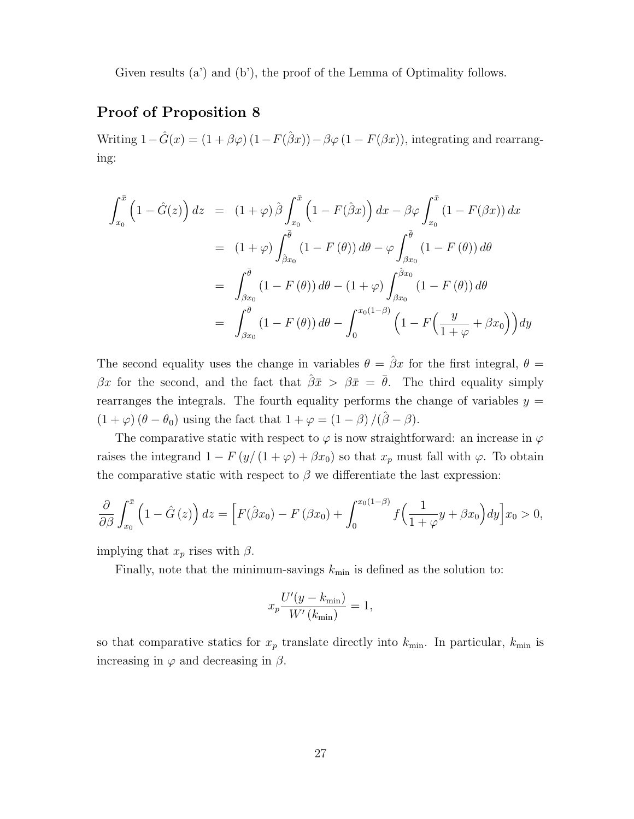Given results (a') and (b'), the proof of the Lemma of Optimality follows.

### Proof of Proposition 8

Writing  $1-\hat{G}(x) = (1+\beta\varphi)(1-F(\hat{\beta}x))-\beta\varphi(1-F(\beta x))$ , integrating and rearranging:

$$
\int_{x_0}^{\bar{x}} \left(1 - \hat{G}(z)\right) dz = (1 + \varphi) \hat{\beta} \int_{x_0}^{\bar{x}} \left(1 - F(\hat{\beta}x)\right) dx - \beta \varphi \int_{x_0}^{\bar{x}} \left(1 - F(\beta x)\right) dx
$$

$$
= (1 + \varphi) \int_{\hat{\beta}x_0}^{\bar{\theta}} \left(1 - F(\theta)\right) d\theta - \varphi \int_{\beta x_0}^{\bar{\theta}} \left(1 - F(\theta)\right) d\theta
$$

$$
= \int_{\beta x_0}^{\bar{\theta}} \left(1 - F(\theta)\right) d\theta - \left(1 + \varphi\right) \int_{\beta x_0}^{\hat{\beta}x_0} \left(1 - F(\theta)\right) d\theta
$$

$$
= \int_{\beta x_0}^{\bar{\theta}} \left(1 - F(\theta)\right) d\theta - \int_{0}^{x_0(1-\beta)} \left(1 - F\left(\frac{y}{1 + \varphi} + \beta x_0\right)\right) dy
$$

The second equality uses the change in variables  $\theta = \hat{\beta}x$  for the first integral,  $\theta =$ βx for the second, and the fact that  $\hat{\beta}\bar{x} > \beta\bar{x} = \bar{\theta}$ . The third equality simply rearranges the integrals. The fourth equality performs the change of variables  $y =$  $(1 + \varphi)(\theta - \theta_0)$  using the fact that  $1 + \varphi = (1 - \beta)/(\hat{\beta} - \beta)$ .

The comparative static with respect to  $\varphi$  is now straightforward: an increase in  $\varphi$ raises the integrand  $1 - F(y/(1 + \varphi) + \beta x_0)$  so that  $x_p$  must fall with  $\varphi$ . To obtain the comparative static with respect to  $\beta$  we differentiate the last expression:

$$
\frac{\partial}{\partial \beta} \int_{x_0}^{\bar{x}} \left(1 - \hat{G}\left(z\right)\right) dz = \left[F\left(\hat{\beta}x_0\right) - F\left(\beta x_0\right) + \int_0^{x_0(1-\beta)} f\left(\frac{1}{1+\varphi}y + \beta x_0\right) dy\right] x_0 > 0,
$$

implying that  $x_p$  rises with  $\beta$ .

Finally, note that the minimum-savings  $k_{\text{min}}$  is defined as the solution to:

$$
x_p \frac{U'(y - k_{\min})}{W'(k_{\min})} = 1,
$$

so that comparative statics for  $x_p$  translate directly into  $k_{\text{min}}$ . In particular,  $k_{\text{min}}$  is increasing in  $\varphi$  and decreasing in  $\beta$ .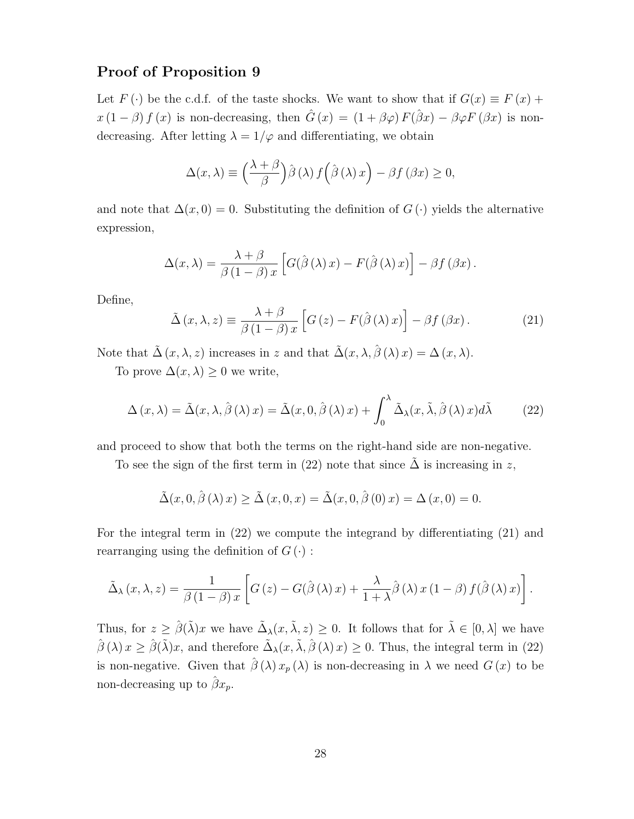### Proof of Proposition 9

Let  $F(\cdot)$  be the c.d.f. of the taste shocks. We want to show that if  $G(x) \equiv F(x) +$  $x(1-\beta) f(x)$  is non-decreasing, then  $\hat{G}(x) = (1+\beta\varphi) F(\hat{\beta}x) - \beta\varphi F(\beta x)$  is nondecreasing. After letting  $\lambda = 1/\varphi$  and differentiating, we obtain

$$
\Delta(x,\lambda) \equiv \left(\frac{\lambda+\beta}{\beta}\right) \hat{\beta}(\lambda) f\left(\hat{\beta}(\lambda)x\right) - \beta f(\beta x) \ge 0,
$$

and note that  $\Delta(x,0) = 0$ . Substituting the definition of  $G(\cdot)$  yields the alternative expression,

$$
\Delta(x,\lambda) = \frac{\lambda + \beta}{\beta(1-\beta)x} \left[ G(\hat{\beta}(\lambda)x) - F(\hat{\beta}(\lambda)x) \right] - \beta f(\beta x).
$$

Define,

$$
\tilde{\Delta}(x,\lambda,z) \equiv \frac{\lambda+\beta}{\beta(1-\beta)x} \left[ G(z) - F(\hat{\beta}(\lambda)x) \right] - \beta f(\beta x). \tag{21}
$$

Note that  $\tilde{\Delta}(x, \lambda, z)$  increases in z and that  $\tilde{\Delta}(x, \lambda, \hat{\beta}(\lambda)x) = \Delta(x, \lambda)$ .

To prove  $\Delta(x,\lambda) \geq 0$  we write,

$$
\Delta(x,\lambda) = \tilde{\Delta}(x,\lambda,\hat{\beta}(\lambda)x) = \tilde{\Delta}(x,0,\hat{\beta}(\lambda)x) + \int_0^{\lambda} \tilde{\Delta}_{\lambda}(x,\tilde{\lambda},\hat{\beta}(\lambda)x)d\tilde{\lambda}
$$
 (22)

and proceed to show that both the terms on the right-hand side are non-negative.

To see the sign of the first term in (22) note that since  $\Delta$  is increasing in z,

$$
\tilde{\Delta}(x,0,\hat{\beta}(\lambda)x) \ge \tilde{\Delta}(x,0,x) = \tilde{\Delta}(x,0,\hat{\beta}(0)x) = \Delta(x,0) = 0.
$$

For the integral term in (22) we compute the integrand by differentiating (21) and rearranging using the definition of  $G(\cdot)$ :

$$
\tilde{\Delta}_{\lambda}(x,\lambda,z) = \frac{1}{\beta(1-\beta)x} \left[ G(z) - G(\hat{\beta}(\lambda)x) + \frac{\lambda}{1+\lambda}\hat{\beta}(\lambda)x(1-\beta)f(\hat{\beta}(\lambda)x) \right].
$$

Thus, for  $z \geq \hat{\beta}(\tilde{\lambda})x$  we have  $\tilde{\Delta}_{\lambda}(x, \tilde{\lambda}, z) \geq 0$ . It follows that for  $\tilde{\lambda} \in [0, \lambda]$  we have  $\hat{\beta}(\lambda)x \geq \hat{\beta}(\tilde{\lambda})x$ , and therefore  $\tilde{\Delta}_{\lambda}(x, \tilde{\lambda}, \hat{\beta}(\lambda)x) \geq 0$ . Thus, the integral term in (22) is non-negative. Given that  $\hat{\beta}(\lambda) x_p(\lambda)$  is non-decreasing in  $\lambda$  we need  $G(x)$  to be non-decreasing up to  $\hat{\beta}x_p$ .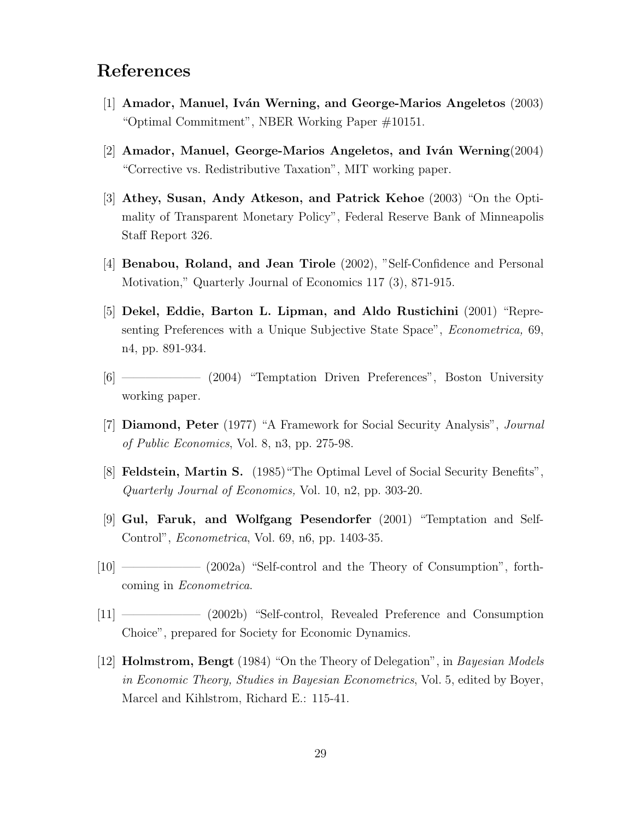# References

- [1] Amador, Manuel, Iván Werning, and George-Marios Angeletos  $(2003)$ "Optimal Commitment", NBER Working Paper #10151.
- [2] Amador, Manuel, George-Marios Angeletos, and Iván Werning(2004) "Corrective vs. Redistributive Taxation", MIT working paper.
- [3] Athey, Susan, Andy Atkeson, and Patrick Kehoe (2003) "On the Optimality of Transparent Monetary Policy", Federal Reserve Bank of Minneapolis Staff Report 326.
- [4] Benabou, Roland, and Jean Tirole (2002), "Self-Confidence and Personal Motivation," Quarterly Journal of Economics 117 (3), 871-915.
- [5] Dekel, Eddie, Barton L. Lipman, and Aldo Rustichini (2001) "Representing Preferences with a Unique Subjective State Space", Econometrica, 69, n4, pp. 891-934.
- [6] ——————– (2004) "Temptation Driven Preferences", Boston University working paper.
- [7] Diamond, Peter (1977) "A Framework for Social Security Analysis", Journal of Public Economics, Vol. 8, n3, pp. 275-98.
- [8] Feldstein, Martin S. (1985)"The Optimal Level of Social Security Benefits", Quarterly Journal of Economics, Vol. 10, n2, pp. 303-20.
- [9] Gul, Faruk, and Wolfgang Pesendorfer (2001) "Temptation and Self-Control", Econometrica, Vol. 69, n6, pp. 1403-35.
- [10] ——————– (2002a) "Self-control and the Theory of Consumption", forthcoming in Econometrica.
- [11] ——————– (2002b) "Self-control, Revealed Preference and Consumption Choice", prepared for Society for Economic Dynamics.
- [12] Holmstrom, Bengt (1984) "On the Theory of Delegation", in Bayesian Models in Economic Theory, Studies in Bayesian Econometrics, Vol. 5, edited by Boyer, Marcel and Kihlstrom, Richard E.: 115-41.